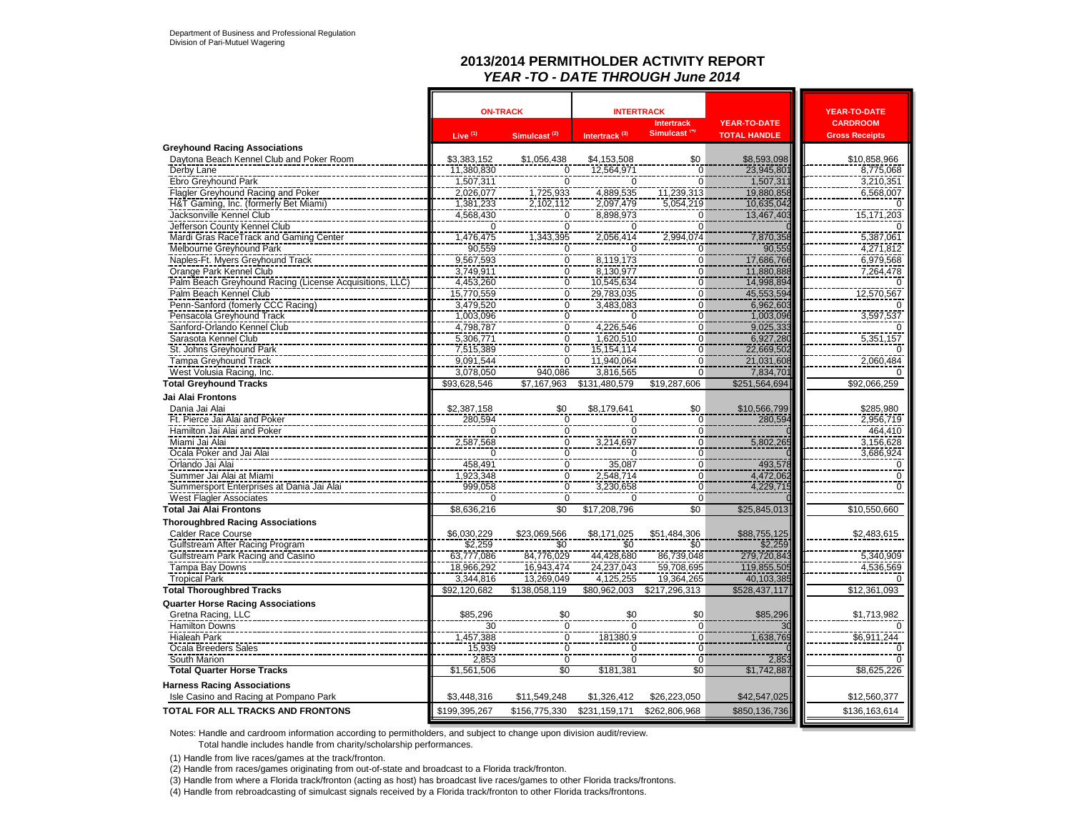#### **2013/2014 PERMITHOLDER ACTIVITY REPORT** *YEAR -TO - DATE THROUGH June 2014*

|                                                         |                     | <b>ON-TRACK</b>                                             | <b>INTERTRACK</b>         |                                  |                           | <b>YEAR-TO-DATE</b>           |
|---------------------------------------------------------|---------------------|-------------------------------------------------------------|---------------------------|----------------------------------|---------------------------|-------------------------------|
|                                                         |                     |                                                             |                           | <b>Intertrack</b>                | <b>YEAR-TO-DATE</b>       | <b>CARDROOM</b>               |
|                                                         | Live <sup>(1)</sup> | Simulcast <sup>(2)</sup>                                    | Intertrack <sup>(3)</sup> | Simulcast <sup>(4)</sup>         | <b>TOTAL HANDLE</b>       | <b>Gross Receipts</b>         |
| <b>Greyhound Racing Associations</b>                    |                     |                                                             |                           |                                  |                           |                               |
| Daytona Beach Kennel Club and Poker Room                | \$3,383,152         | \$1,056,438                                                 | \$4,153,508               | \$0                              | \$8,593,098<br>23,945,801 | \$10,858,966                  |
| Derby Lane                                              | 11,380,830          | $\frac{0}{0}$                                               | 12,564,971                | $\overline{0}$                   |                           | 8,775,068                     |
| Ebro Greyhound Park                                     | 1,507,311           |                                                             | $\overline{0}$            | $\overline{0}$                   | 1,507,311                 | $\frac{3,210,351}{6,568,007}$ |
| Flagler Greyhound Racing and Poker                      | 2,026,077           | 1,725,933                                                   | 4,889,535                 | 11,239,313                       | 19,880,858                |                               |
| H&T Gaming, Inc. (formerly Bet Miami)                   | 1,381,233           | 2,102,112                                                   | 2,097,479                 | 5,054,219                        | 10,635,042                | $\Omega$                      |
| Jacksonville Kennel Club                                | 4,568,430           | $\frac{0}{0}$                                               | 8,898,973                 | 0                                | 13,467,403                | 15,171,203                    |
| Jefferson County Kennel Club                            | $\Omega$            |                                                             | $\Omega$                  | $\Omega$                         |                           |                               |
| Mardi Gras RaceTrack and Gaming Center                  | 1,476,475           | 1,343,395                                                   | 2,056,414                 | 2,994,074                        | 7,870,358                 | 5,387,061                     |
| Melbourne Greyhound Park                                | 90,559              | $\pmb{0}$                                                   | 0                         | $\overline{0}$                   | 90,559                    | 4,271,812                     |
| Naples-Ft. Myers Greyhound Track                        | 9,567,593           | 0                                                           | 8,119,173                 | 0                                | 17,686,766                | 6,979,568                     |
| Orange Park Kennel Club                                 | 3,749,911           | $\overline{0}$                                              | 8,130,977                 | $\overline{0}$                   | 11,880,888                | 7,264,478                     |
| Palm Beach Greyhound Racing (License Acquisitions, LLC) | 4,453,260           |                                                             | 10,545,634                | $\frac{0}{0}$                    | 14,998,894                |                               |
| Palm Beach Kennel Club                                  | 15,770,559          | $\frac{0}{0}$                                               | 29,783,035                |                                  | 45,553,594                | 12,570,567                    |
| Penn-Sanford (fomerly CCC Racing)                       | 3,479,520           |                                                             | 3,483,083                 | $\overline{0}$                   | 6,962,603                 |                               |
| Pensacola Greyhound Track                               | 1,003,096           |                                                             | $\overline{0}$            | $\frac{0}{0}$                    | 1,003,096                 | 3,597,537                     |
| Sanford-Orlando Kennel Club                             | 4,798,787           |                                                             | 4,226,546                 |                                  | 9,025,333                 |                               |
| Sarasota Kennel Club                                    | 5,306,771           |                                                             | 1,620,510                 | $\overline{0}$                   | 6,927,280                 | 5,351,157                     |
| St. Johns Greyhound Park                                | 7,515,389           | $\begin{array}{c} 0 \\ \hline 0 \\ 0 \\ 0 \\ 0 \end{array}$ | 15, 154, 114              | $\overline{0}$                   | 22,669,502                |                               |
| Tampa Greyhound Track                                   | 9,091,544           |                                                             | 11,940,064                | $\overline{0}$                   | 21,031,608                | 2,060,484                     |
| West Volusia Racing, Inc.                               | 3,078,050           | 940,086                                                     | 3,816,565                 | $\overline{0}$                   | 7,834,701                 |                               |
| <b>Total Greyhound Tracks</b>                           | \$93,628,546        | \$7,167,963                                                 | \$131,480,579             | \$19,287,606                     | \$251,564,694             | \$92,066,259                  |
|                                                         |                     |                                                             |                           |                                  |                           |                               |
| Jai Alai Frontons                                       |                     |                                                             |                           |                                  |                           |                               |
| Dania Jai Alai                                          | \$2,387,158         | \$0                                                         | \$8,179,641               | \$0                              | \$10,566,799              | \$285,980                     |
| Ft. Pierce Jai Alai and Poker                           | $\frac{280,594}{0}$ | $\frac{0}{0}$                                               | $\frac{0}{0}$             | 0                                | 280,594                   | 2,956,719                     |
| Hamilton Jai Alai and Poker                             |                     |                                                             |                           | $\overline{0}$                   |                           | 464.410                       |
| Miami Jai Alai                                          | 2,587,568           |                                                             | 3,214,697                 | $\frac{0}{0}$                    | 5,802,265                 | 3,156,628                     |
| Ocala Poker and Jai Alai                                | $\Omega$            | $\begin{matrix} 0 \\ 0 \\ 0 \end{matrix}$                   | $\Omega$                  |                                  |                           | $\frac{3,686,924}{0}$         |
| Orlando Jai Alai                                        | 458,491             |                                                             | 35,087                    | $\overline{0}$                   | 493,578                   |                               |
| Summer Jai Alai at Miami                                | ,923,348            | $\overline{0}$                                              | 2,548,714                 | $\overline{0}$                   | 4,472,062                 | $\overline{0}$                |
| Summersport Enterprises at Dania Jai Alai               | 999,058             | $\mathbf 0$                                                 | 3,230,658                 | $\overline{0}$                   | 4,229,715                 | $\mathbf 0$                   |
| <b>West Flagler Associates</b>                          | $\Omega$            | $\overline{0}$                                              | $\Omega$                  | $\overline{0}$                   |                           |                               |
| <b>Total Jai Alai Frontons</b>                          | \$8,636,216         | \$0                                                         | \$17,208,796              | $\overline{50}$                  | \$25,845,013              | \$10,550,660                  |
| <b>Thoroughbred Racing Associations</b>                 |                     |                                                             |                           |                                  |                           |                               |
| <b>Calder Race Course</b>                               | \$6,030,229         | \$23,069,566                                                | \$8,171,025               | \$51,484,306                     | \$88,755,125              | \$2,483,615                   |
| <b>Gulfstream After Racing Program</b>                  | \$2,259             | \$0                                                         | \$0                       | \$0                              |                           |                               |
| Gulfstream Park Racing and Casino                       | 63,777,086          | 84,776,029                                                  | 44,428,680<br>24,237,043  | 86,739,048                       | $$2,259$<br>279,720,843   | 5,340,909                     |
| Tampa Bay Downs                                         | 18,966,292          | 16,943,474                                                  |                           | 59,708,695                       | 119,855,505               | 4,536,569                     |
| <b>Tropical Park</b>                                    | 3,344,816           | 13,269,049                                                  | 4,125,255                 | 19,364,265                       | 40,103,385                |                               |
| <b>Total Thoroughbred Tracks</b>                        | \$92,120,682        | \$138,058,119                                               | \$80,962,003              | \$217,296,313                    | \$528,437,117             | \$12,361,093                  |
| <b>Quarter Horse Racing Associations</b>                |                     |                                                             |                           |                                  |                           |                               |
| Gretna Racing, LLC                                      | \$85,296            |                                                             |                           | \$0                              | \$85,296                  | \$1,713,982                   |
| <b>Hamilton Downs</b>                                   | 30                  | \$0<br>$\overline{0}$                                       | $\frac{$0}{0}$            | $\overline{0}$                   | $\overline{\mathcal{E}}$  | $\Omega$                      |
| <b>Hialeah Park</b>                                     |                     | $\overline{0}$                                              | 181380.9                  | $\overline{0}$                   | 1,638,769                 | \$6.911.244                   |
| Ocala Breeders Sales                                    | 1,457,388<br>15,939 | $\overline{0}$                                              | $\overline{0}$            |                                  |                           |                               |
|                                                         |                     | $\overline{0}$                                              | $\frac{8}{0}$             | $\overline{0}$<br>$\overline{0}$ |                           | $\overline{0}$                |
| South Marion<br><b>Total Quarter Horse Tracks</b>       | 2,853               | \$0                                                         |                           | \$0                              | 2,853<br>\$1,742,887      |                               |
|                                                         | \$1,561,506         |                                                             | \$181,381                 |                                  |                           | \$8,625,226                   |
| <b>Harness Racing Associations</b>                      |                     |                                                             |                           |                                  |                           |                               |
| Isle Casino and Racing at Pompano Park                  | \$3,448,316         | \$11,549,248                                                | \$1,326,412               | \$26,223,050                     | \$42,547,025              | \$12,560,377                  |
| <b>TOTAL FOR ALL TRACKS AND FRONTONS</b>                | \$199,395,267       | \$156,775,330                                               | \$231,159,171             | \$262,806,968                    | \$850,136,736             | \$136,163,614                 |

Notes: Handle and cardroom information according to permitholders, and subject to change upon division audit/review.

Total handle includes handle from charity/scholarship performances.

(1) Handle from live races/games at the track/fronton.

(2) Handle from races/games originating from out-of-state and broadcast to a Florida track/fronton.

(3) Handle from where a Florida track/fronton (acting as host) has broadcast live races/games to other Florida tracks/frontons.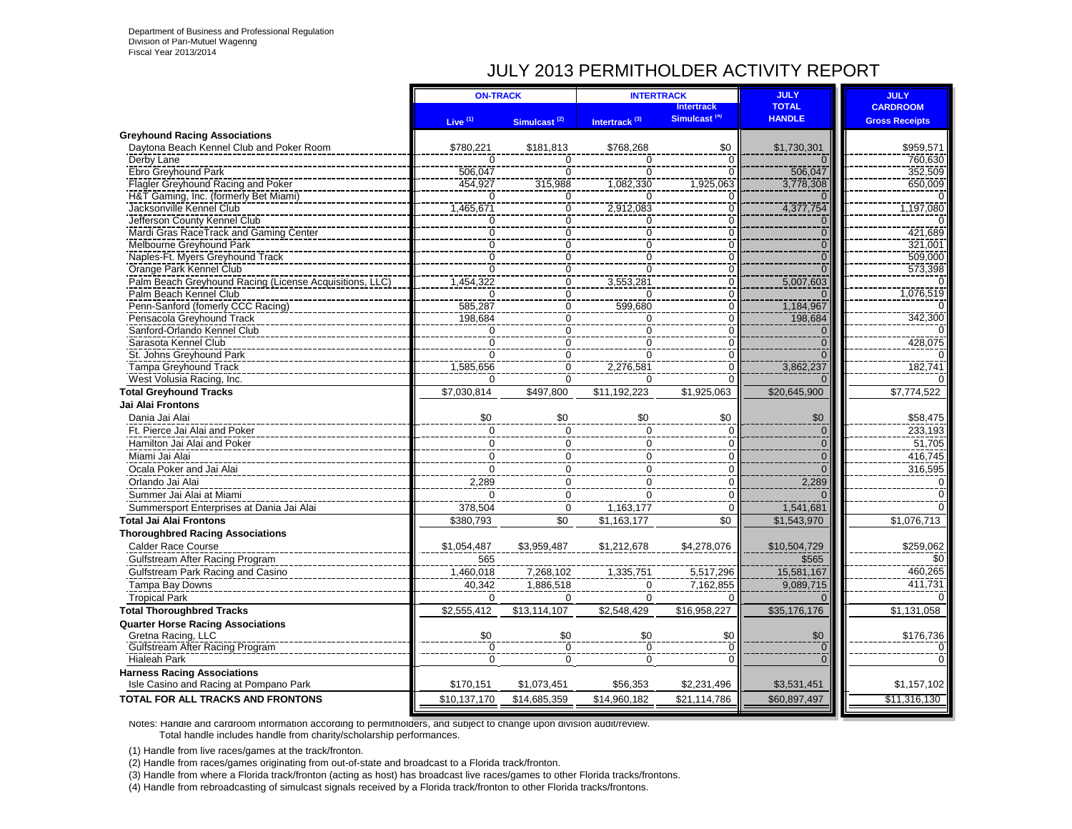## JULY 2013 PERMITHOLDER ACTIVITY REPORT

|                                                                                   | <b>ON-TRACK</b> |                                      | <b>INTERTRACK</b>         |                                  | <b>JULY</b>    | <b>JULY</b>           |
|-----------------------------------------------------------------------------------|-----------------|--------------------------------------|---------------------------|----------------------------------|----------------|-----------------------|
|                                                                                   |                 |                                      |                           | <b>Intertrack</b>                | <b>TOTAL</b>   | <b>CARDROOM</b>       |
|                                                                                   | Live $(1)$      | Simulcast <sup>(2)</sup>             | Intertrack <sup>(3)</sup> | Simulcast <sup>(4)</sup>         | <b>HANDLE</b>  | <b>Gross Receipts</b> |
| <b>Greyhound Racing Associations</b>                                              |                 |                                      |                           |                                  |                |                       |
| Daytona Beach Kennel Club and Poker Room                                          | \$780,221       | \$181,813                            | \$768,268                 | \$0                              | \$1,730,301    | \$959,571             |
| Derby Lane                                                                        | $\Omega$        | $\Omega$                             | $\Omega$                  | $\Omega$                         | $\Omega$       | 760.630               |
| Ebro Greyhound Park                                                               | 506,047         | $\Omega$                             | $\Omega$                  |                                  | 506,047        | 352,509               |
| Flagler Greyhound Racing and Poker                                                | 454,927         | 315,988                              | 1,082,330                 | 1,925,063                        | 3,778,308      | 650,009               |
| H&T Gaming, Inc. (formerly Bet Miami)                                             | 0               | 0                                    | $\Omega$                  | ŋ                                | $\mathbf{0}$   |                       |
| Jacksonville Kennel Club                                                          | 1,465,671       | 0                                    | 2,912,083                 | $\overline{0}$                   | 4,377,754      | 1,197,080             |
| Jefferson County Kennel Club                                                      | 0               | $\frac{0}{0}$                        | 0                         | O                                | $\mathbf{0}$   |                       |
| Mardi Gras RaceTrack and Gaming Center                                            | $\overline{0}$  |                                      | $\overline{0}$            | $\overline{0}$                   | $\overline{0}$ | 421,689               |
| Melbourne Greyhound Park                                                          | $\overline{0}$  | $\overline{0}$                       | $\overline{0}$            | $\overline{0}$                   | $\overline{0}$ | 321,001               |
| Naples-Ft. Myers Greyhound Track                                                  | $\Omega$        | ō                                    | ō                         | $\overline{0}$                   | $\Omega$       | 509,000               |
| Orange Park Kennel Club                                                           | $\Omega$        | 0                                    | $\Omega$                  | $\overline{0}$<br>$\overline{0}$ | $\Omega$       | 573,398               |
| Palm Beach Greyhound Racing (License Acquisitions, LLC)<br>Palm Beach Kennel Club | 1,454,322<br>0  | $\overline{0}$<br>$\overline{0}$     | 3,553,281<br>$\Omega$     | $\overline{0}$                   | 5,007,603      | 1,076,519             |
| Penn-Sanford (fomerly CCC Racing)                                                 | 585,287         | $\overline{0}$                       | 599,680                   | $\Omega$                         | 1,184,967      |                       |
| Pensacola Greyhound Track                                                         | 198,684         | $\overline{0}$                       | $\mathbf 0$               | $\overline{0}$                   | 198,684        | 342,300               |
| Sanford-Orlando Kennel Club                                                       | 0               |                                      | $\pmb{0}$                 | 0                                | $\mathbf{0}$   |                       |
| Sarasota Kennel Club                                                              | $\mathbf 0$     | $\begin{matrix} 0 \\ 0 \end{matrix}$ | 0                         | $\overline{0}$                   | $\overline{0}$ | 428,075               |
| St. Johns Greyhound Park                                                          | $\Omega$        |                                      | $\mathbf 0$               | $\Omega$                         | $\Omega$       |                       |
| <b>Tampa Greyhound Track</b>                                                      | 1,585,656       | $\frac{0}{0}$                        | 2,276,581                 | $\overline{0}$                   | 3,862,237      | 182,741               |
| West Volusia Racing, Inc.                                                         | $\Omega$        | $\overline{0}$                       | $\Omega$                  | O                                |                |                       |
| <b>Total Greyhound Tracks</b>                                                     | \$7,030,814     | \$497,800                            | \$11,192,223              | \$1,925,063                      | \$20,645,900   | \$7,774,522           |
| Jai Alai Frontons                                                                 |                 |                                      |                           |                                  |                |                       |
| Dania Jai Alai                                                                    | \$0             | \$0                                  | \$0                       | \$0                              | \$0            | \$58,475              |
| Ft. Pierce Jai Alai and Poker                                                     |                 |                                      | $\mathbf 0$               | 0                                | $\overline{0}$ | 233,193               |
|                                                                                   | $\mathbf 0$     | 0                                    |                           |                                  |                | 51,705                |
| Hamilton Jai Alai and Poker                                                       | $\mathbf 0$     | $\pmb{0}$                            | 0                         | 0                                | $\overline{0}$ |                       |
| Miami Jai Alai                                                                    | $\mathbf 0$     | $\overline{0}$                       | $\pmb{0}$                 | 0                                | $\mathbf{0}$   | 416,745               |
| Ocala Poker and Jai Alai                                                          | $\Omega$        | $\mathbf 0$                          | $\Omega$                  | $\overline{0}$                   | $\Omega$       | 316,595               |
| Orlando Jai Alai                                                                  | 2,289           | $\mathbf 0$                          | $\mathbf 0$               | 0                                | 2,289          | 0                     |
| Summer Jai Alai at Miami                                                          | $\Omega$        | $\Omega$                             | $\overline{0}$            | $\Omega$                         | $\Omega$       | $\Omega$              |
| Summersport Enterprises at Dania Jai Alai                                         | 378,504         | $\mathbf 0$                          | 1,163,177                 | $\Omega$                         | 1,541,681      | $\Omega$              |
| <b>Total Jai Alai Frontons</b>                                                    | \$380,793       | \$0                                  | \$1,163,177               | \$0                              | \$1,543,970    | \$1,076,713           |
| <b>Thoroughbred Racing Associations</b>                                           |                 |                                      |                           |                                  |                |                       |
| <b>Calder Race Course</b>                                                         | \$1,054,487     | \$3,959,487                          | \$1,212,678               | \$4,278,076                      | \$10,504,729   | \$259,062             |
| Gulfstream After Racing Program                                                   | 565             |                                      |                           |                                  | \$565          | \$0                   |
| Gulfstream Park Racing and Casino                                                 | 1,460,018       | 7,268,102                            | 1,335,751                 | 5,517,296                        | 15,581,167     | 460,265               |
| Tampa Bay Downs                                                                   | 40,342          | 1,886,518                            | $\mathbf 0$               | 7,162,855                        | 9,089,715      | 411,731               |
| <b>Tropical Park</b>                                                              | $\Omega$        | $\Omega$                             | $\Omega$                  |                                  |                |                       |
| <b>Total Thoroughbred Tracks</b>                                                  | \$2,555,412     | \$13,114,107                         | \$2,548,429               | \$16,958,227                     | \$35,176,176   | \$1,131,058           |
| <b>Quarter Horse Racing Associations</b>                                          |                 |                                      |                           |                                  |                |                       |
| Gretna Racing, LLC                                                                | \$0             | \$0                                  | \$0                       | \$0                              | \$0            | \$176,736             |
| <b>Gulfstream After Racing Program</b>                                            | $\overline{0}$  | $\overline{0}$                       | $\overline{0}$            | Ō                                | $\overline{0}$ |                       |
| <b>Hialeah Park</b>                                                               | $\Omega$        | $\Omega$                             | $\Omega$                  | $\Omega$                         | $\overline{0}$ | $\mathbf 0$           |
| <b>Harness Racing Associations</b>                                                |                 |                                      |                           |                                  |                |                       |
| Isle Casino and Racing at Pompano Park                                            | \$170,151       | \$1,073,451                          | \$56,353                  | \$2,231,496                      | \$3,531,451    | \$1,157,102           |
| TOTAL FOR ALL TRACKS AND FRONTONS                                                 | \$10,137,170    | \$14,685,359                         | \$14,960,182              | \$21,114,786                     | \$60,897,497   | \$11,316,130          |
|                                                                                   |                 |                                      |                           |                                  |                |                       |

Notes: Handle and cardroom information according to permitholders, and subject to change upon division audit/review.

Total handle includes handle from charity/scholarship performances.

(1) Handle from live races/games at the track/fronton.

(2) Handle from races/games originating from out-of-state and broadcast to a Florida track/fronton.

(3) Handle from where a Florida track/fronton (acting as host) has broadcast live races/games to other Florida tracks/frontons.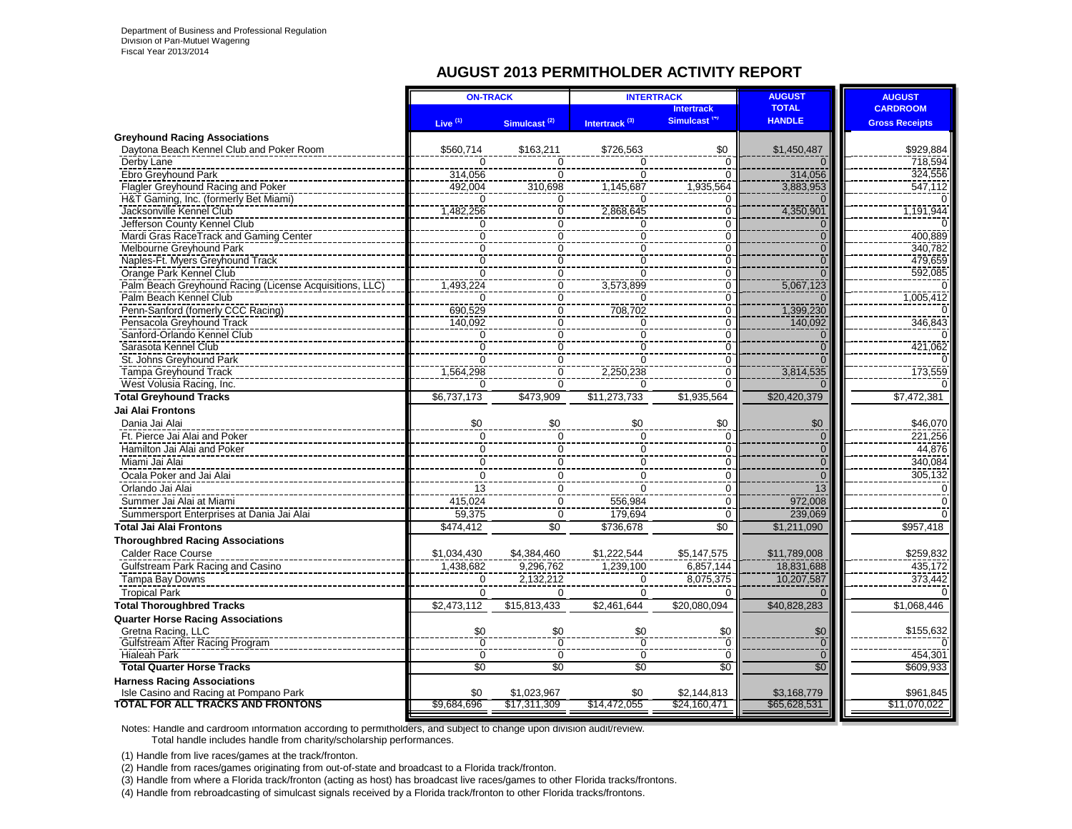#### **AUGUST 2013 PERMITHOLDER ACTIVITY REPORT**

|                                                                | <b>ON-TRACK</b> |                          |                           | <b>INTERTRACK</b>                             | <b>AUGUST</b>                 | <b>AUGUST</b>                            |
|----------------------------------------------------------------|-----------------|--------------------------|---------------------------|-----------------------------------------------|-------------------------------|------------------------------------------|
|                                                                | Live $(1)$      | Simulcast <sup>(2)</sup> | Intertrack <sup>(3)</sup> | <b>Intertrack</b><br>Simulcast <sup>(4)</sup> | <b>TOTAL</b><br><b>HANDLE</b> | <b>CARDROOM</b><br><b>Gross Receipts</b> |
| <b>Greyhound Racing Associations</b>                           |                 |                          |                           |                                               |                               |                                          |
| Davtona Beach Kennel Club and Poker Room                       | \$560,714       | \$163,211                | \$726.563                 | \$0                                           | \$1,450,487                   | \$929.884                                |
| Derby Lane                                                     |                 |                          | $\Omega$                  | $\Omega$                                      |                               | 718,594                                  |
| Ebro Greyhound Park                                            | 314,056         | $\Omega$                 | $\overline{0}$            | $\Omega$                                      | 314,056                       | 324,556                                  |
| Flagler Greyhound Racing and Poker                             | 492,004         | 310,698                  | 1,145,687                 | 1,935,564                                     | 3,883,953                     | $\frac{1}{547,112}$                      |
| H&T Gaming, Inc. (formerly Bet Miami)                          | $\Omega$        | $\Omega$                 | $\Omega$                  | $\Omega$                                      | $\Omega$                      |                                          |
| Jacksonville Kennel Club                                       | 1,482,256       | $\overline{0}$           | 2,868,645                 | $\overline{0}$                                | 4,350,901                     | 1,191,944                                |
| Jefferson County Kennel Club                                   | 0               | 0                        | 0                         | $\mathbf 0$                                   | $\mathbf{0}$                  |                                          |
| Mardi Gras RaceTrack and Gaming Center                         | $\mathbf 0$     | $\overline{0}$           | $\overline{0}$            | 0                                             | $\Omega$                      | 400,889                                  |
| Melbourne Greyhound Park                                       | 0               | $\overline{0}$           | $\overline{0}$            | $\mathbf 0$                                   | $\overline{0}$                | 340,782                                  |
| Naples-Ft. Myers Greyhound Track                               | $\Omega$        | $\Omega$                 | $\overline{0}$            | $\Omega$                                      | $\Omega$                      | 479,659                                  |
| Orange Park Kennel Club                                        | $\Omega$        | $\Omega$                 | $\Omega$                  | $\Omega$                                      | $\overline{0}$                | 592,085                                  |
| Palm Beach Greyhound Racing (License Acquisitions, LLC)        | 1.493.224       | Ō                        | 3.573.899                 | $\overline{0}$                                | 5,067,123                     | 0                                        |
| Palm Beach Kennel Club                                         | $\Omega$        | $\mathbf 0$              | $\Omega$                  | $\Omega$                                      | $\Omega$                      | 1,005,412                                |
| Penn-Sanford (fomerly CCC Racing)                              | 690,529         | $\overline{0}$           | 708,702                   | $\Omega$                                      | 1,399,230                     | 0                                        |
| Pensacola Greyhound Track                                      | 140,092         | $\overline{0}$           | 0                         | 0                                             | 140,092                       | 346,843                                  |
| Sanford-Orlando Kennel Club                                    | $\Omega$        | $\Omega$                 | $\overline{0}$            | $\Omega$                                      | $\Omega$                      |                                          |
| Sarasota Kennel Club                                           | $\overline{0}$  | $\overline{0}$           | $\overline{0}$            | $\Omega$                                      | $\Omega$                      | 421,062                                  |
| St. Johns Greyhound Park                                       | $\overline{0}$  | $\overline{0}$           | $\overline{0}$            | $\overline{0}$                                | $\overline{0}$                |                                          |
| Tampa Greyhound Track                                          | 1,564,298       | $\overline{0}$           | 2,250,238                 | $\mathbf 0$                                   | 3,814,535                     | 173,559                                  |
| West Volusia Racing, Inc.                                      | O               | $\Omega$                 | $\Omega$                  | $\Omega$                                      | $\Omega$                      |                                          |
| <b>Total Grevhound Tracks</b>                                  | \$6,737,173     | \$473.909                | \$11.273.733              | \$1,935,564                                   | \$20.420.379                  | \$7,472,381                              |
| <b>Jai Alai Frontons</b>                                       |                 |                          |                           |                                               |                               |                                          |
| Dania Jai Alai                                                 | \$0             | \$0                      | \$0                       | \$0                                           | \$0                           | \$46,070                                 |
| Ft. Pierce Jai Alai and Poker                                  | $\Omega$        | 0                        | $\mathbf 0$               | $\Omega$                                      | $\mathbf{0}$                  | 221,256                                  |
| Hamilton Jai Alai and Poker                                    | 0               | 0                        | 0                         | $\mathbf 0$                                   | $\mathbf{0}$                  | 44,876                                   |
| Miami Jai Alai                                                 | $\mathbf 0$     | 0                        | 0                         | $\Omega$                                      | $\overline{0}$                | 340.084                                  |
| Ocala Poker and Jai Alai                                       | $\Omega$        | $\Omega$                 | $\mathbf 0$               | $\Omega$                                      | $\Omega$                      | 305,132                                  |
| Orlando Jai Alai                                               | $\overline{13}$ | $\overline{0}$           | $\overline{0}$            | $\Omega$                                      | $\overline{13}$               | $\Omega$                                 |
| Summer Jai Alai at Miami                                       | 415,024         | $\Omega$                 | 556,984                   | $\Omega$                                      | 972,008                       | $\Omega$                                 |
| Summersport Enterprises at Dania Jai Alai                      | 59,375          | $\mathbf 0$              | 179,694                   | $\Omega$                                      | 239,069                       | $\Omega$                                 |
| <b>Total Jai Alai Frontons</b>                                 | \$474,412       | \$0                      | \$736,678                 | $\overline{30}$                               | \$1,211,090                   | \$957,418                                |
| <b>Thoroughbred Racing Associations</b>                        |                 |                          |                           |                                               |                               |                                          |
| Calder Race Course                                             | \$1,034,430     | \$4,384,460              | \$1,222,544               | \$5,147,575                                   | \$11,789,008                  | \$259,832                                |
| Gulfstream Park Racing and Casino                              | 1,438,682       | 9,296,762                | 1,239,100                 | 6,857,144                                     | 18,831,688                    | 435,172                                  |
| Tampa Bay Downs                                                | $\mathbf 0$     | 2,132,212                | 0                         | 8,075,375                                     | 10,207,587                    | 373,442                                  |
| <b>Tropical Park</b>                                           | $\Omega$        | 0                        | $\mathbf 0$               | 0                                             | $\cap$                        |                                          |
| <b>Total Thoroughbred Tracks</b>                               | \$2,473,112     | \$15,813,433             | \$2,461,644               | \$20,080,094                                  | \$40,828,283                  | \$1,068,446                              |
|                                                                |                 |                          |                           |                                               |                               |                                          |
| <b>Quarter Horse Racing Associations</b><br>Gretna Racing, LLC | \$0             | \$0                      | \$0                       | \$0                                           | \$0                           | \$155.632                                |
| Gulfstream After Racing Program                                |                 | 70                       | $\overline{0}$            | n                                             | $\overline{0}$                |                                          |
| <b>Hialeah Park</b>                                            | $\overline{0}$  | $\overline{0}$           | $\overline{0}$            | $\overline{0}$                                | $\overline{0}$                | 454,301                                  |
| <b>Total Quarter Horse Tracks</b>                              | \$0             | $\overline{50}$          | \$0                       | $\overline{30}$                               | \$0                           | $\overline{$609,933}$                    |
| <b>Harness Racing Associations</b>                             |                 |                          |                           |                                               |                               |                                          |
| Isle Casino and Racing at Pompano Park                         | \$0             | \$1,023,967              | \$0                       | \$2,144,813                                   | \$3,168,779                   | \$961,845                                |
| <b>TOTAL FOR ALL TRACKS AND FRONTONS</b>                       | \$9,684,696     | \$17,311,309             | \$14,472,055              | \$24,160,471                                  | \$65,628,531                  | \$11,070,022                             |
|                                                                |                 |                          |                           |                                               |                               |                                          |

Notes: Handle and cardroom information according to permitholders, and subject to change upon division audit/review. Total handle includes handle from charity/scholarship performances.

(1) Handle from live races/games at the track/fronton.

(2) Handle from races/games originating from out-of-state and broadcast to a Florida track/fronton.

(3) Handle from where a Florida track/fronton (acting as host) has broadcast live races/games to other Florida tracks/frontons.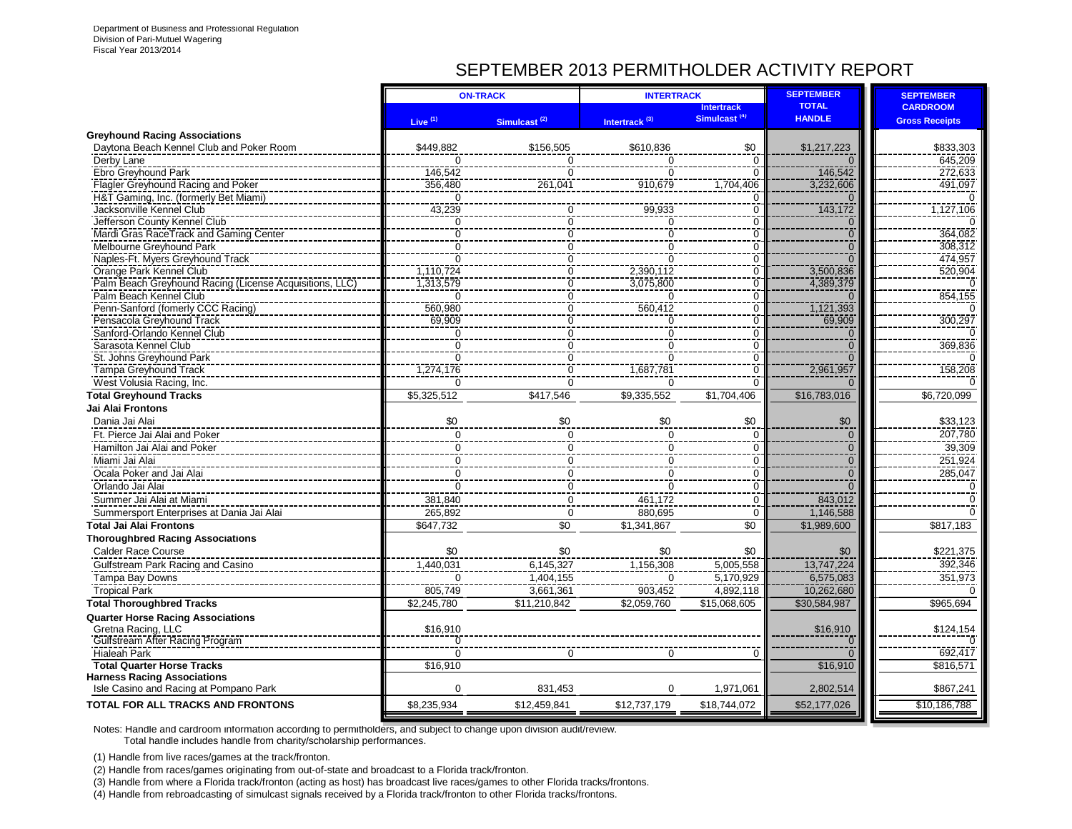# SEPTEMBER 2013 PERMITHOLDER ACTIVITY REPORT

|                                                              |                            | <b>ON-TRACK</b>          | <b>INTERTRACK</b>         |                          | <b>SEPTEMBER</b>           | <b>SEPTEMBER</b>      |
|--------------------------------------------------------------|----------------------------|--------------------------|---------------------------|--------------------------|----------------------------|-----------------------|
|                                                              |                            |                          |                           | <b>Intertrack</b>        | <b>TOTAL</b>               | <b>CARDROOM</b>       |
|                                                              | Live <sup>(1)</sup>        | Simulcast <sup>(2)</sup> | Intertrack <sup>(3)</sup> | Simulcast <sup>(4)</sup> | <b>HANDLE</b>              | <b>Gross Receipts</b> |
| <b>Greyhound Racing Associations</b>                         |                            |                          |                           |                          |                            |                       |
| Daytona Beach Kennel Club and Poker Room                     | \$449.882                  | \$156,505                | \$610,836                 | \$0                      | \$1,217,223                | \$833,303             |
| Derby Lane                                                   | $\Omega$                   | $\Omega$                 | $\Omega$                  | $\Omega$                 |                            | 645.209               |
| Ebro Greyhound Park                                          | 146.542                    | $\Omega$                 | $\Omega$                  | $\Omega$                 | 146.542                    | 272.633               |
| Flagler Greyhound Racing and Poker                           | 356,480                    | 261,041                  | 910,679                   | 1.704.406                | 3,232,606                  | 491,097               |
| H&T Gaming, Inc. (formerly Bet Miami)                        | $\Omega$                   |                          |                           |                          |                            |                       |
| Jacksonville Kennel Club                                     | 43,239                     | ∩                        | 99,933                    | $\Omega$                 | 143,172                    | 1,127,106             |
| Jefferson County Kennel Club                                 | ∩                          | 0<br>$\overline{0}$      | $\Omega$                  | O                        | $\Omega$<br>$\overline{0}$ | 364,082               |
| Mardi Gras RaceTrack and Gaming Center                       | $\Omega$                   | $\overline{0}$           | $\Omega$                  | $\Omega$<br>$\Omega$     | $\Omega$                   |                       |
| Melbourne Greyhound Park<br>Naples-Ft. Myers Greyhound Track | $\mathbf 0$<br>$\Omega$    | $\mathbf 0$              | $\mathbf 0$<br>$\Omega$   | $\Omega$                 | $\Omega$                   | 308,312<br>474,957    |
| Orange Park Kennel Club                                      | 1,110,724                  | 0                        | 2,390,112                 | $\Omega$                 | 3,500,836                  | 520,904               |
| Palm Beach Greyhound Racing (License Acquisitions, LLC)      | 1,313,579                  | $\overline{0}$           | 3,075,800                 | $\overline{0}$           | 4,389,379                  |                       |
| Palm Beach Kennel Club                                       | $\Omega$                   | $\overline{0}$           | $\Omega$                  | $\Omega$                 | $\cap$                     | 854,155               |
| Penn-Sanford (fomerly CCC Racing)                            | 560,980                    | $\overline{0}$           | 560,412                   | $\Omega$                 | 1,121,393                  |                       |
| Pensacola Greyhound Track                                    | 69,909                     | $\overline{0}$           | $\Omega$                  | 0                        | 69,909                     | 300,297               |
| Sanford-Orlando Kennel Club                                  | 0                          | 0                        | $\mathbf 0$               | $\mathbf 0$              | $\overline{0}$             |                       |
| Sarasota Kennel Club                                         | $\overline{0}$             | $\mathbf 0$              | $\mathbf 0$               | $\Omega$                 | $\overline{0}$             | 369,836               |
| St. Johns Greyhound Park                                     | $\Omega$                   |                          | $\Omega$                  | C                        | $\Omega$                   |                       |
| Tampa Greyhound Track                                        | 1,274,176                  | $\frac{0}{0}$            | 1,687,781                 | $\overline{0}$           | 2,961,957                  | 158,208               |
| West Volusia Racing, Inc.                                    |                            | $\overline{0}$           | $\Omega$                  | $\Omega$                 |                            |                       |
| <b>Total Greyhound Tracks</b>                                | \$5,325,512                | \$417,546                | \$9,335,552               | \$1,704,406              | \$16,783,016               | \$6,720,099           |
| <b>Jai Alai Frontons</b>                                     |                            |                          |                           |                          |                            |                       |
| Dania Jai Alai                                               | \$0                        | \$0                      | \$0                       | \$0                      | \$0                        | \$33,123              |
| Ft. Pierce Jai Alai and Poker                                | $\mathbf 0$                | $\mathbf 0$              | $\mathbf 0$               | 0                        | $\mathbf 0$                | 207,780               |
| Hamilton Jai Alai and Poker                                  | $\mathbf 0$                | $\mathbf 0$              | $\mathbf{0}$              | $\mathbf 0$              | $\overline{0}$             | 39,309                |
| Miami Jai Alai                                               | $\mathbf 0$                | $\mathbf 0$              | $\mathbf 0$               | $\mathbf 0$              | $\overline{0}$             | 251,924               |
| Ocala Poker and Jai Alai                                     | $\ddot{\mathbf{0}}$        | $\overline{0}$           | $\mathbf 0$               | $\Omega$                 | $\overline{\Omega}$        | 285,047               |
| Orlando Jai Alai                                             | $\Omega$                   | $\mathbf 0$              | $\Omega$                  | $\Omega$                 | $\Omega$                   |                       |
| Summer Jai Alai at Miami                                     | 381,840                    | $\mathbf 0$              | 461,172                   | $\Omega$                 | 843,012                    | $\Omega$              |
| Summersport Enterprises at Dania Jai Alai                    | 265,892                    | $\mathbf 0$              | 880,695                   | $\mathbf 0$              | 1,146,588                  | $\Omega$              |
| <b>Total Jai Alai Frontons</b>                               | \$647,732                  | \$0                      | \$1,341,867               | $\overline{30}$          | \$1,989,600                | \$817,183             |
| <b>Thoroughbred Racing Associations</b>                      |                            |                          |                           |                          |                            |                       |
| <b>Calder Race Course</b>                                    | \$0                        | \$0                      | \$0                       | \$0                      | \$0                        |                       |
|                                                              | 1,440,031                  | 6,145,327                | 1,156,308                 | 5,005,558                | 13,747,224                 | \$221,375<br>392,346  |
| Gulfstream Park Racing and Casino                            |                            |                          | $\Omega$                  |                          | 6,575,083                  | 351,973               |
| Tampa Bay Downs                                              |                            | 1,404,155                |                           | 5,170,929                |                            |                       |
| <b>Tropical Park</b>                                         | 805,749                    | 3,661,361                | 903,452                   | 4,892,118                | 10,262,680                 |                       |
| <b>Total Thoroughbred Tracks</b>                             | \$2,245,780                | \$11,210,842             | \$2,059,760               | \$15,068,605             | \$30,584,987               | \$965,694             |
| <b>Quarter Horse Racing Associations</b>                     |                            |                          |                           |                          |                            |                       |
| Gretna Racing, LLC                                           | \$16,910<br>$\overline{0}$ |                          |                           |                          | \$16,910<br>ō              | \$124,154             |
| Gulfstream After Racing Program<br><b>Hialeah Park</b>       | $\Omega$                   | ∩                        | ∩                         | O                        | $\Omega$                   | 692,417               |
| <b>Total Quarter Horse Tracks</b>                            | \$16,910                   |                          |                           |                          | \$16,910                   | \$816,571             |
| <b>Harness Racing Associations</b>                           |                            |                          |                           |                          |                            |                       |
| Isle Casino and Racing at Pompano Park                       | $\Omega$                   | 831.453                  | $\Omega$                  | 1,971,061                | 2,802,514                  | \$867,241             |
| <b>TOTAL FOR ALL TRACKS AND FRONTONS</b>                     | \$8,235,934                | \$12,459,841             | \$12,737,179              | \$18,744,072             | \$52,177,026               | \$10,186,788          |
|                                                              |                            |                          |                           |                          |                            |                       |

Notes: Handle and cardroom information according to permitholders, and subject to change upon division audit/review. Total handle includes handle from charity/scholarship performances.

(1) Handle from live races/games at the track/fronton.

(2) Handle from races/games originating from out-of-state and broadcast to a Florida track/fronton.

(3) Handle from where a Florida track/fronton (acting as host) has broadcast live races/games to other Florida tracks/frontons.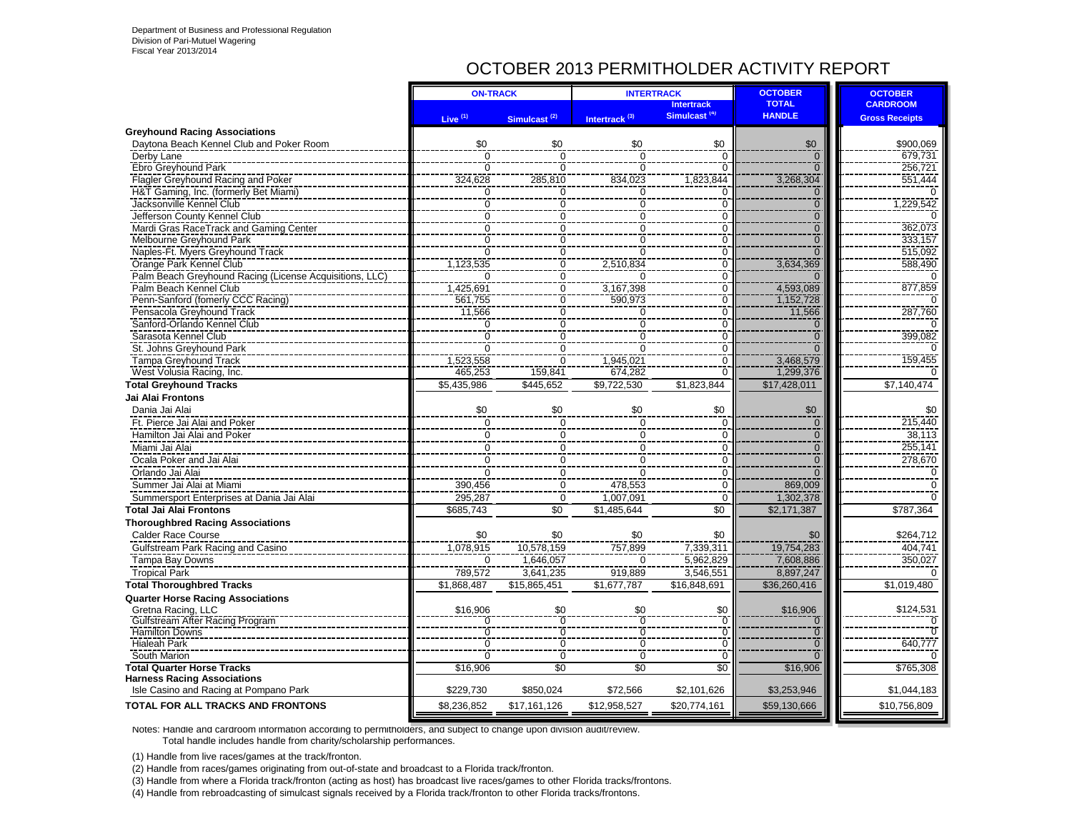## OCTOBER 2013 PERMITHOLDER ACTIVITY REPORT

|                                                                              | <b>ON-TRACK</b>       |                          | <b>INTERTRACK</b>         |                                               | <b>OCTOBER</b>                | <b>OCTOBER</b>                           |
|------------------------------------------------------------------------------|-----------------------|--------------------------|---------------------------|-----------------------------------------------|-------------------------------|------------------------------------------|
|                                                                              | Live $(1)$            | Simulcast <sup>(2)</sup> | Intertrack <sup>(3)</sup> | <b>Intertrack</b><br>Simulcast <sup>(4)</sup> | <b>TOTAL</b><br><b>HANDLE</b> | <b>CARDROOM</b><br><b>Gross Receipts</b> |
| <b>Greyhound Racing Associations</b>                                         |                       |                          |                           |                                               |                               |                                          |
| Daytona Beach Kennel Club and Poker Room                                     | \$0                   | \$0                      | \$0                       | \$0                                           | \$0                           | \$900,069                                |
| Derby Lane                                                                   | $\overline{0}$        | $\overline{0}$           | $\overline{0}$            | $\Omega$                                      | $\overline{0}$                | 679.731                                  |
| Ebro Greyhound Park                                                          | $\mathbf 0$           | $\Omega$                 | $\Omega$                  | $\Omega$                                      | $\overline{0}$                | 256,721                                  |
| Flagler Greyhound Racing and Poker                                           | 324,628               | 285,810                  | 834,023                   | 1,823,844                                     | 3,268,304                     | 551,444                                  |
| H&T Gaming, Inc. (formerly Bet Miami)                                        | 0                     | $\Omega$                 | $\Omega$                  | O                                             | $\overline{0}$                | $\Omega$                                 |
| Jacksonville Kennel Club                                                     | Ō                     | $\overline{0}$           | $\overline{0}$            | $\overline{0}$                                | $\overline{0}$                | 1,229,542                                |
| Jefferson County Kennel Club                                                 | $\mathbf 0$           | $\mathbf 0$              | $\mathbf 0$               | $\mathbf 0$                                   | $\overline{0}$                |                                          |
| Mardi Gras RaceTrack and Gaming Center                                       | Ō                     | $\overline{0}$           | $\overline{0}$            | $\overline{0}$                                | $\overline{0}$                | 362,073                                  |
| Melbourne Greyhound Park                                                     | ō                     | $\overline{0}$           | $\overline{0}$            | $\overline{0}$                                | $\overline{0}$                | 333,157                                  |
| Naples-Ft. Myers Greyhound Track                                             | $\Omega$              | $\mathbf 0$              | $\Omega$                  | $\mathbf 0$                                   | $\overline{0}$                | 515,092                                  |
| Orange Park Kennel Club                                                      | 1,123,535             | $\overline{0}$           | 2,510,834                 | $\overline{0}$                                | 3,634,369                     | 588,490                                  |
| Palm Beach Greyhound Racing (License Acquisitions, LLC)                      | ∩                     | $\overline{0}$           | $\Omega$                  | $\overline{0}$                                |                               |                                          |
| Palm Beach Kennel Club                                                       | 1,425,691             | $\mathbf 0$              | 3,167,398                 | $\Omega$                                      | 4,593,089                     | 877,859                                  |
| Penn-Sanford (fomerly CCC Racing)                                            | 561.755               | $\overline{0}$           | 590,973                   | $\overline{0}$                                | 1,152,728                     |                                          |
| Pensacola Greyhound Track                                                    | 11,566                | $\mathbf 0$              | 0                         | $\mathbf 0$                                   | 11,566                        | 287,760                                  |
| Sanford-Orlando Kennel Club                                                  | 0                     | $\Omega$                 | $\overline{0}$            | $\Omega$                                      | $\mathbf 0$                   |                                          |
| Sarasota Kennel Club                                                         | $\overline{0}$        | $\overline{0}$           | $\overline{0}$            | $\overline{0}$                                | $\overline{0}$                | 399,082                                  |
| St. Johns Greyhound Park                                                     | $\overline{0}$        | $\overline{0}$           | $\overline{0}$            | $\overline{0}$                                | $\overline{0}$                |                                          |
| Tampa Greyhound Track                                                        |                       | $\Omega$                 |                           | $\Omega$                                      |                               | 159,455                                  |
|                                                                              | 1,523,558             |                          | 1,945,021                 |                                               | 3,468,579                     |                                          |
| West Volusia Racing, Inc.                                                    | 465,253               | 159,841                  | 674,282                   | $\overline{0}$                                | 1,299,376                     |                                          |
| <b>Total Greyhound Tracks</b>                                                | \$5,435,986           | \$445,652                | \$9,722,530               | \$1,823,844                                   | \$17,428,011                  | \$7,140,474                              |
| Jai Alai Frontons                                                            |                       |                          |                           |                                               |                               |                                          |
| Dania Jai Alai                                                               | \$0                   | \$0                      | \$0                       | \$0                                           | \$0                           | \$0                                      |
| Ft. Pierce Jai Alai and Poker                                                | $\Omega$              | $\Omega$                 | $\Omega$                  | $\Omega$                                      | $\mathbf{0}$                  | 215,440                                  |
| Hamilton Jai Alai and Poker                                                  | $\overline{0}$        | $\Omega$                 | $\overline{0}$            | $\overline{0}$                                | $\overline{0}$                | 38.113                                   |
| Miami Jai Alai                                                               | $\mathbf 0$           | $\mathbf 0$              | 0                         | $\mathbf 0$                                   | $\overline{0}$                | 255,141                                  |
| Ocala Poker and Jai Alai                                                     | $\overline{0}$        | $\overline{0}$           | $\overline{0}$            | $\overline{0}$                                | $\overline{0}$                | 278,670                                  |
| Orlando Jai Alai                                                             | $\overline{0}$        | $\overline{0}$           | $\overline{0}$            | $\overline{0}$                                | $\overline{0}$                | $\mathbf 0$                              |
| Summer Jai Alai at Miami                                                     | 390,456               | $\mathbf 0$              | 478,553                   | $\mathbf 0$                                   | 869,009                       | $\mathbf 0$                              |
| Summersport Enterprises at Dania Jai Alai                                    | 295,287               | $\mathbf 0$              | 1,007,091                 | $\Omega$                                      | 1,302,378                     | $\Omega$                                 |
| <b>Total Jai Alai Frontons</b>                                               | $\overline{$685,743}$ | $\overline{50}$          | \$1,485,644               | \$0                                           | \$2,171,387                   | \$787,364                                |
| <b>Thoroughbred Racing Associations</b>                                      |                       |                          |                           |                                               |                               |                                          |
| Calder Race Course                                                           | \$0                   | \$0                      | \$0                       | \$0                                           | \$0                           | \$264,712                                |
| Gulfstream Park Racing and Casino                                            | 1.078.915             | 10.578.159               | 757.899                   | 7.339.311                                     | 19,754,283                    | 404.741                                  |
| <b>Tampa Bay Downs</b>                                                       | $\Omega$              | 1,646,057                | $\Omega$                  | 5,962,829                                     | 7,608,886                     | 350,027                                  |
|                                                                              |                       |                          | 919,889                   |                                               |                               | $\Omega$                                 |
| <b>Tropical Park</b>                                                         | 789,572               | 3,641,235                |                           | 3,546,551                                     | 8,897,247                     |                                          |
| <b>Total Thoroughbred Tracks</b>                                             | \$1,868,487           | \$15,865,451             | \$1,677,787               | \$16,848,691                                  | \$36,260,416                  | \$1,019,480                              |
| <b>Quarter Horse Racing Associations</b>                                     |                       |                          |                           |                                               |                               |                                          |
| Gretna Racing, LLC                                                           | \$16,906              | \$0                      | \$0<br>$\overline{0}$     | \$0                                           | \$16,906                      | \$124,531                                |
| <b>Gulfstream After Racing Program</b><br><b>Hamilton Downs</b>              | Ō                     | $\overline{0}$           | $\overline{0}$            | $\overline{0}$<br>$\overline{0}$              | $\overline{0}$                | $\overline{0}$<br>$\Omega$               |
|                                                                              | Ō                     | $\overline{0}$           |                           |                                               | $\overline{0}$                |                                          |
| <b>Hialeah Park</b>                                                          | 0                     | $\mathbf 0$              | $\Omega$                  | $\overline{0}$                                | $\overline{0}$                | 640,777                                  |
| South Marion                                                                 | $\overline{0}$        | $\overline{0}$           | $\overline{0}$            | $\overline{0}$                                | $\overline{0}$                |                                          |
| <b>Total Quarter Horse Tracks</b>                                            | \$16,906              | $\overline{50}$          | \$0                       | \$0                                           | \$16,906                      | \$765,308                                |
| <b>Harness Racing Associations</b><br>Isle Casino and Racing at Pompano Park | \$229,730             | \$850.024                | \$72,566                  | \$2,101,626                                   | \$3,253,946                   | \$1,044,183                              |
| TOTAL FOR ALL TRACKS AND FRONTONS                                            | \$8,236,852           | \$17,161,126             | \$12,958,527              | \$20,774,161                                  | \$59,130,666                  | \$10,756,809                             |
|                                                                              |                       |                          |                           |                                               |                               |                                          |

Notes: Handle and cardroom information according to permitholders, and subject to change upon division audit/review. Total handle includes handle from charity/scholarship performances.

(1) Handle from live races/games at the track/fronton.

(2) Handle from races/games originating from out-of-state and broadcast to a Florida track/fronton.

(3) Handle from where a Florida track/fronton (acting as host) has broadcast live races/games to other Florida tracks/frontons.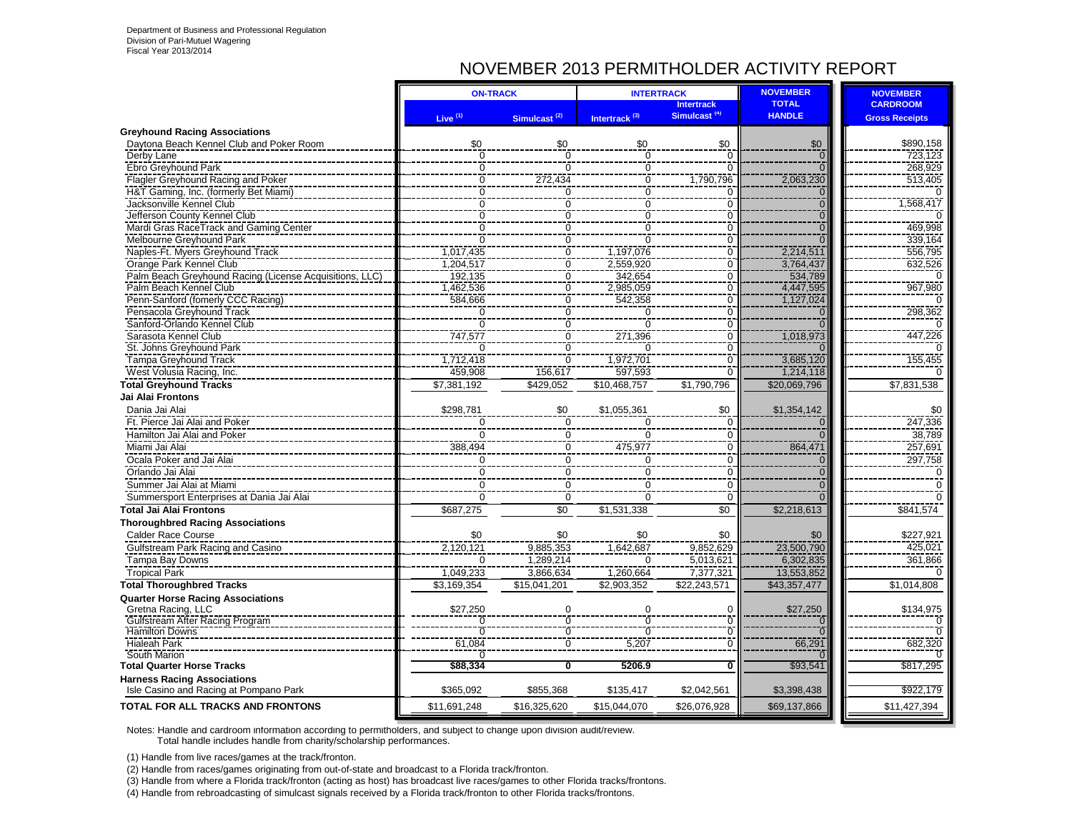## NOVEMBER 2013 PERMITHOLDER ACTIVITY REPORT

|                                                                   |                                  | <b>ON-TRACK</b>            | <b>INTERTRACK</b>             |                               | <b>NOVEMBER</b>                  | <b>NOVEMBER</b>       |
|-------------------------------------------------------------------|----------------------------------|----------------------------|-------------------------------|-------------------------------|----------------------------------|-----------------------|
|                                                                   |                                  |                            |                               | <b>Intertrack</b>             | <b>TOTAL</b>                     | <b>CARDROOM</b>       |
|                                                                   | Live <sup>(1)</sup>              | Simulcast <sup>(2)</sup>   | Intertrack <sup>(3)</sup>     | Simulcast <sup>(4)</sup>      | <b>HANDLE</b>                    | <b>Gross Receipts</b> |
| <b>Greyhound Racing Associations</b>                              |                                  |                            |                               |                               |                                  |                       |
| Daytona Beach Kennel Club and Poker Room                          | \$0                              | \$0                        | \$0                           | \$0                           | \$0                              | \$890,158             |
| Derby Lane                                                        | $\overline{0}$                   | $\overline{0}$             | 0                             | $\Omega$                      | $\overline{0}$                   | 723,123               |
| Ebro Greyhound Park                                               | $\overline{0}$<br>$\overline{0}$ | $\Omega$                   | $\overline{0}$                | $\Omega$                      | $\overline{0}$                   | 268.929               |
| Flagler Greyhound Racing and Poker                                | $\overline{0}$                   | 272,434                    | $\overline{0}$                | 1,790,796<br>$\Omega$         | 2,063,230                        | 513,405               |
| H&T Gaming, Inc. (formerly Bet Miami)<br>Jacksonville Kennel Club | $\overline{0}$                   | $\mathbf 0$<br>$\mathbf 0$ | $\overline{0}$<br>$\mathbf 0$ |                               | $\mathbf 0$                      | 1,568,417             |
| Jefferson County Kennel Club                                      | $\overline{0}$                   | $\overline{0}$             | $\overline{0}$                | $\mathbf 0$<br>$\overline{0}$ | $\overline{0}$<br>$\overline{0}$ | $\Omega$              |
| Mardi Gras RaceTrack and Gaming Center                            | $\overline{0}$                   | $\overline{0}$             | $\overline{0}$                | $\overline{0}$                | $\overline{0}$                   | 469,998               |
| Melbourne Greyhound Park                                          | $\overline{0}$                   | $\overline{0}$             | $\overline{0}$                | $\overline{0}$                | $\Omega$                         | 339,164               |
| Naples-Ft. Myers Greyhound Track                                  | 1,017,435                        | $\overline{0}$             | 1,197,076                     | $\overline{0}$                | 2,214,511                        | 556,795               |
| Orange Park Kennel Club                                           | 1,204,517                        | $\overline{0}$             | 2,559,920                     | $\overline{0}$                | 3,764,437                        | 632,526               |
| Palm Beach Greyhound Racing (License Acquisitions, LLC)           | 192,135                          | $\overline{0}$             | 342,654                       | $\Omega$                      | 534,789                          | $\Omega$              |
| Palm Beach Kennel Club                                            | 1,462,536                        | $\overline{0}$             | 2,985,059                     | $\overline{0}$                | 4,447,595                        | 967,980               |
| Penn-Sanford (fomerly CCC Racing)                                 | 584,666                          | $\overline{0}$             | 542,358                       | $\overline{0}$                | 1,127,024                        |                       |
| Pensacola Greyhound Track                                         |                                  |                            | $\mathbf 0$                   | $\Omega$                      | $\Omega$                         | 298,362               |
| Sanford-Orlando Kennel Club                                       | $\frac{0}{0}$                    | $\frac{1}{0}$              | $\overline{0}$                | $\overline{0}$                | $\overline{0}$                   |                       |
| Sarasota Kennel Club                                              | 747,577                          | $\overline{0}$             | 271,396                       | $\mathbf 0$                   | 1,018,973                        | 447,226               |
| St. Johns Greyhound Park                                          |                                  | $\mathbf 0$                | $\Omega$                      | $\mathbf 0$                   |                                  |                       |
| Tampa Greyhound Track                                             | 1,712,418                        | $\overline{0}$             | 1,972,701                     | $\overline{0}$                | 3,685,120                        | 155,455               |
| West Volusia Racing, Inc.                                         | 459,908                          | 156,617                    | 597,593                       | $\Omega$                      | 1,214,118                        |                       |
| <b>Total Greyhound Tracks</b>                                     | \$7,381,192                      | \$429,052                  | \$10,468,757                  | \$1,790,796                   | \$20,069,796                     | \$7,831,538           |
| <b>Jai Alai Frontons</b>                                          |                                  |                            |                               |                               |                                  |                       |
| Dania Jai Alai                                                    | \$298,781                        | \$0                        | \$1,055,361                   | \$0                           | \$1,354,142                      | \$0                   |
| Ft. Pierce Jai Alai and Poker                                     | $\mathbf 0$                      | $\overline{0}$             | $\mathbf 0$                   | $\mathbf 0$                   | $\overline{0}$                   | 247,336               |
| Hamilton Jai Alai and Poker                                       | $\mathbf 0$                      | $\mathbf 0$                | $\mathbf 0$                   | $\mathbf 0$                   | $\Omega$                         | 38,789                |
| Miami Jai Alai                                                    | 388,494                          | $\mathbf 0$                | 475,977                       | $\mathbf 0$                   | 864,471                          | 257,691               |
| Ocala Poker and Jai Alai                                          | 0                                | $\mathbf 0$                | 0                             | 0                             | $\bf 0$                          | 297,758               |
| Orlando Jai Alai                                                  | $\mathbf 0$                      | $\mathbf 0$                | $\mathbf 0$                   | $\overline{0}$                | $\overline{0}$                   | $\Omega$              |
| Summer Jai Alai at Miami                                          | $\overline{0}$                   | $\Omega$                   | $\mathbf 0$                   | $\overline{0}$                | $\overline{0}$                   | $\overline{0}$        |
| Summersport Enterprises at Dania Jai Alai                         | $\Omega$                         | $\Omega$                   | $\overline{0}$                | $\Omega$                      | $\overline{0}$                   | $\overline{0}$        |
| <b>Total Jai Alai Frontons</b>                                    | \$687,275                        | $\overline{50}$            | \$1,531,338                   | $\overline{30}$               | \$2,218,613                      | \$841,574             |
| <b>Thoroughbred Racing Associations</b>                           |                                  |                            |                               |                               |                                  |                       |
| <b>Calder Race Course</b>                                         | \$0                              | \$0                        | \$0                           | \$0                           | \$0                              | \$227,921             |
| Gulfstream Park Racing and Casino                                 | 2,120,121                        | 9.885.353                  | 1.642.687                     | 9.852.629                     | 23.500.790                       | 425.021               |
| Tampa Bay Downs                                                   | $\Omega$                         | 1.289.214                  | $\Omega$                      | 5,013,621                     | 6,302,835                        | 361,866               |
| <b>Tropical Park</b>                                              | 1,049,233                        | 3,866,634                  | 1,260,664                     | 7,377,321                     | 13,553,852                       |                       |
| <b>Total Thoroughbred Tracks</b>                                  | \$3,169,354                      | \$15,041,201               | \$2,903,352                   | \$22,243,571                  | \$43,357,477                     | \$1,014,808           |
| <b>Quarter Horse Racing Associations</b>                          |                                  |                            |                               |                               |                                  |                       |
| Gretna Racing, LLC                                                | \$27,250                         | $\mathbf 0$                | $\mathbf 0$                   | 0                             | \$27,250                         | \$134,975             |
| Gulfstream After Racing Program                                   | $\Omega$                         | $\overline{0}$             | $\overline{0}$                | $\overline{0}$                | $\overline{0}$                   |                       |
| <b>Hamilton Downs</b>                                             | $\overline{0}$                   | Ō                          | Ō                             | $\overline{0}$                | $\overline{0}$                   | $\Omega$              |
| <b>Hialeah Park</b>                                               | 61,084                           | $\overline{0}$             | 5,207                         | $\overline{0}$                | 66,291                           | 682,320               |
| South Marion                                                      | 70                               |                            |                               |                               |                                  |                       |
| <b>Total Quarter Horse Tracks</b>                                 | \$88,334                         | $\overline{\mathbf{0}}$    | 5206.9                        | $\overline{\mathbf{0}}$       | \$93,541                         | \$817,295             |
| <b>Harness Racing Associations</b>                                | \$365,092                        | \$855,368                  | \$135,417                     | \$2,042,561                   |                                  | \$922,179             |
| Isle Casino and Racing at Pompano Park                            |                                  |                            |                               |                               | \$3,398,438                      |                       |
| TOTAL FOR ALL TRACKS AND FRONTONS                                 | \$11,691,248                     | \$16,325,620               | \$15,044,070                  | \$26,076,928                  | \$69,137,866                     | \$11,427,394          |

Notes: Handle and cardroom information according to permitholders, and subject to change upon division audit/review. Total handle includes handle from charity/scholarship performances.

(1) Handle from live races/games at the track/fronton.

(2) Handle from races/games originating from out-of-state and broadcast to a Florida track/fronton.

(3) Handle from where a Florida track/fronton (acting as host) has broadcast live races/games to other Florida tracks/frontons.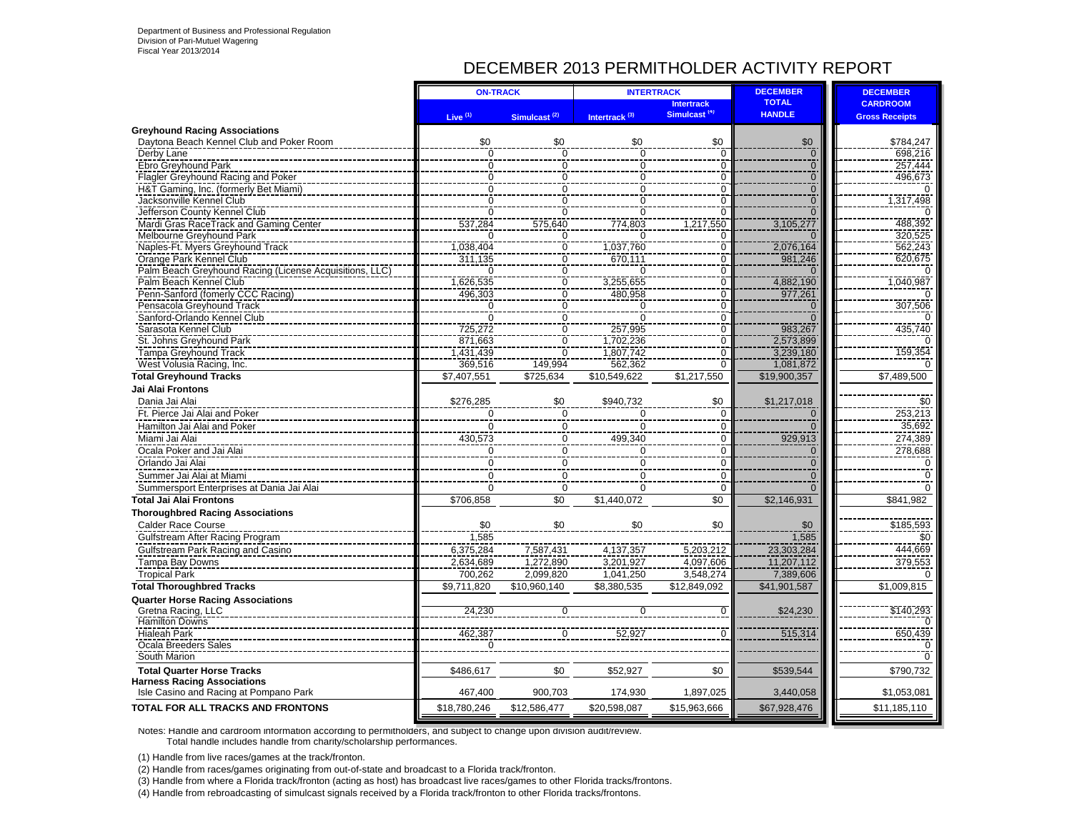## DECEMBER 2013 PERMITHOLDER ACTIVITY REPORT

|                                                                             | <b>ON-TRACK</b>               |                                                                | <b>INTERTRACK</b>         |                          | <b>DECEMBER</b>                  | <b>DECEMBER</b>       |
|-----------------------------------------------------------------------------|-------------------------------|----------------------------------------------------------------|---------------------------|--------------------------|----------------------------------|-----------------------|
|                                                                             |                               |                                                                |                           | <b>Intertrack</b>        | <b>TOTAL</b>                     | <b>CARDROOM</b>       |
|                                                                             | Live $(1)$                    | Simulcast <sup>(2)</sup>                                       | Intertrack <sup>(3)</sup> | Simulcast <sup>(4)</sup> | <b>HANDLE</b>                    | <b>Gross Receipts</b> |
| <b>Greyhound Racing Associations</b>                                        |                               |                                                                |                           |                          |                                  |                       |
| Daytona Beach Kennel Club and Poker Room                                    | \$0                           | \$0                                                            | \$0                       | \$0                      | \$0                              | \$784,247             |
| Derby Lane                                                                  | $\overline{0}$                | $\mathbf 0$                                                    | 0                         | $\mathbf 0$              | $\frac{0}{0}$                    | 698,216               |
| Ebro Greyhound Park                                                         | 0                             | $\pmb{0}$                                                      | 0                         | 0                        |                                  | 257,444<br>496,673    |
| Flagler Greyhound Racing and Poker<br>H&T Gaming, Inc. (formerly Bet Miami) | 0<br>0                        | $\overline{0}$<br>$\overline{0}$                               | 0<br>$\Omega$             | 0<br>$\overline{0}$      | $\overline{0}$<br>$\overline{0}$ |                       |
| Jacksonville Kennel Club                                                    | $\Omega$                      | $\overline{0}$                                                 | $\overline{0}$            | 0                        | $\overline{0}$                   | 317,498               |
| Jefferson County Kennel Club                                                | $\Omega$                      | $\Omega$                                                       | $\Omega$                  | U                        | $\Omega$                         |                       |
| Mardi Gras RaceTrack and Gaming Center                                      | 537,284                       | 575,640                                                        | 774,803                   | 1.217.550                | 3,105,277                        | 488,392               |
| Melbourne Greyhound Park                                                    | ∩                             |                                                                |                           | ŋ                        | $\Omega$                         | 320,525               |
| Naples-Ft. Myers Greyhound Track                                            | 1,038,404                     | $\begin{array}{c}\n0 \\ 0 \\ 0 \\ \hline\n0 \\ 0\n\end{array}$ | 1,037,760                 | 0                        | 2,076,164                        | 562,243               |
| Orange Park Kennel Club                                                     | 311,135                       |                                                                | 670,111                   | 0                        | 981,246                          | 620,675               |
| Palm Beach Greyhound Racing (License Acquisitions, LLC)                     | $\Omega$                      |                                                                | $\Omega$                  | ō                        | $\Omega$                         |                       |
| Palm Beach Kennel Club                                                      | 1,626,535                     |                                                                | 3,255,655                 | $\Omega$                 | 4,882,190                        | 1,040,987             |
| Penn-Sanford (fomerly CCC Racing)                                           | 496,303                       |                                                                | 480,958                   | 0                        | 977,261                          |                       |
| Pensacola Greyhound Track                                                   | $\mathbf 0$<br>$\overline{0}$ | $\overline{0}$                                                 | 0                         | $\Omega$                 | $\mathbf{0}$<br>$\overline{0}$   | 307,506               |
| Sanford-Orlando Kennel Club<br>Sarasota Kennel Club                         |                               | $\begin{matrix} 0 \\ 0 \\ 0 \end{matrix}$                      | $\Omega$<br>257,995       | $\overline{0}$<br>0      | 983,267                          | 435,740               |
| St. Johns Greyhound Park                                                    | 725,272<br>871,663            |                                                                | 1,702,236                 | $\mathbf{0}$             | 2,573,899                        |                       |
| <b>Tampa Greyhound Track</b>                                                | 1,431,439                     | $\overline{0}$                                                 | 1,807,742                 | $\overline{0}$           | 3,239,180                        | 159,354               |
| West Volusia Racing, Inc.                                                   | 369,516                       | 149,994                                                        | 562,362                   | $\overline{0}$           | 1,081,872                        |                       |
| <b>Total Greyhound Tracks</b>                                               | \$7,407,551                   | \$725,634                                                      | \$10,549,622              | \$1,217,550              | \$19,900,357                     | \$7,489,500           |
| Jai Alai Frontons                                                           |                               |                                                                |                           |                          |                                  |                       |
| Dania Jai Alai                                                              | \$276,285                     | \$0                                                            | \$940,732                 | \$0                      | \$1,217,018                      | \$0                   |
| Ft. Pierce Jai Alai and Poker                                               | $\pmb{0}$                     | $\overline{0}$                                                 | 0                         | $\mathbf 0$              | $\mathbf 0$                      | 253,213               |
| Hamilton Jai Alai and Poker                                                 | 0                             | $\pmb{0}$                                                      | 0                         | 0                        | $\Omega$                         | 35,692                |
| Miami Jai Alai                                                              | 430,573                       | $\overline{0}$                                                 | 499,340                   | 0                        | 929,913                          | 274,389               |
| Ocala Poker and Jai Alai                                                    | $\Omega$                      |                                                                | $\Omega$                  | $\Omega$                 |                                  | 278,688               |
| Orlando Jai Alai                                                            | $\Omega$                      | $\frac{0}{0}$                                                  | 0                         | 0                        | $\frac{0}{0}$                    | $\Omega$              |
| Summer Jai Alai at Miami                                                    | 0                             | $\mathbf 0$                                                    | $\Omega$                  | $\Omega$                 | $\Omega$                         | ∩                     |
| Summersport Enterprises at Dania Jai Alai                                   | $\Omega$                      | $\mathbf 0$                                                    | $\Omega$                  | $\mathbf 0$              | $\overline{0}$                   | ∩                     |
| <b>Total Jai Alai Frontons</b>                                              | \$706,858                     | \$0                                                            | \$1,440,072               | $\overline{50}$          | \$2,146,931                      | \$841,982             |
| <b>Thoroughbred Racing Associations</b>                                     |                               |                                                                |                           |                          |                                  |                       |
| <b>Calder Race Course</b>                                                   | \$0                           | \$0                                                            | \$0                       | \$0                      | \$0                              | \$185,593             |
| Gulfstream After Racing Program                                             | 1,585                         |                                                                |                           |                          | 1,585                            | \$0                   |
| Gulfstream Park Racing and Casino                                           | 6,375,284                     | 7,587,431                                                      | 4,137,357                 | 5,203,212                | 23,303,284                       | 444,669               |
| Tampa Bay Downs                                                             | 2,634,689                     | 1,272,890                                                      | 3,201,927                 | 4,097,606                | 11,207,112                       | 379,553               |
| <b>Tropical Park</b>                                                        | 700,262                       | 2,099,820                                                      | 1,041,250                 | 3,548,274                | 7,389,606                        |                       |
| <b>Total Thoroughbred Tracks</b>                                            | \$9,711,820                   | \$10,960,140                                                   | \$8,380,535               | \$12,849,092             | \$41,901,587                     | \$1,009,815           |
| <b>Quarter Horse Racing Associations</b>                                    |                               |                                                                |                           |                          |                                  |                       |
| Gretna Racing, LLC                                                          | 24,230                        | 0                                                              | 0                         | $\Omega$                 | \$24,230                         | \$140,293             |
| Hamilton Downs<br><b>Hialeah Park</b>                                       | 462.387                       |                                                                | 52.927                    |                          |                                  | 650,439               |
| Ocala Breeders Sales                                                        |                               | 0                                                              |                           |                          | 515,314                          |                       |
| South Marion                                                                | 0                             |                                                                |                           |                          |                                  |                       |
|                                                                             |                               | \$0                                                            | \$52,927                  | \$0                      |                                  |                       |
| <b>Total Quarter Horse Tracks</b><br><b>Harness Racing Associations</b>     | \$486,617                     |                                                                |                           |                          | \$539,544                        | \$790,732             |
| Isle Casino and Racing at Pompano Park                                      | 467,400                       | 900,703                                                        | 174,930                   | 1,897,025                | 3,440,058                        | \$1,053,081           |
| TOTAL FOR ALL TRACKS AND FRONTONS                                           | \$18,780,246                  | \$12,586,477                                                   | \$20,598,087              | \$15,963,666             | \$67,928,476                     | \$11,185,110          |
|                                                                             |                               |                                                                |                           |                          |                                  |                       |

Notes: Handle and cardroom information according to permitholders, and subject to change upon division audit/review. Total handle includes handle from charity/scholarship performances.

(1) Handle from live races/games at the track/fronton.

(2) Handle from races/games originating from out-of-state and broadcast to a Florida track/fronton.

(3) Handle from where a Florida track/fronton (acting as host) has broadcast live races/games to other Florida tracks/frontons.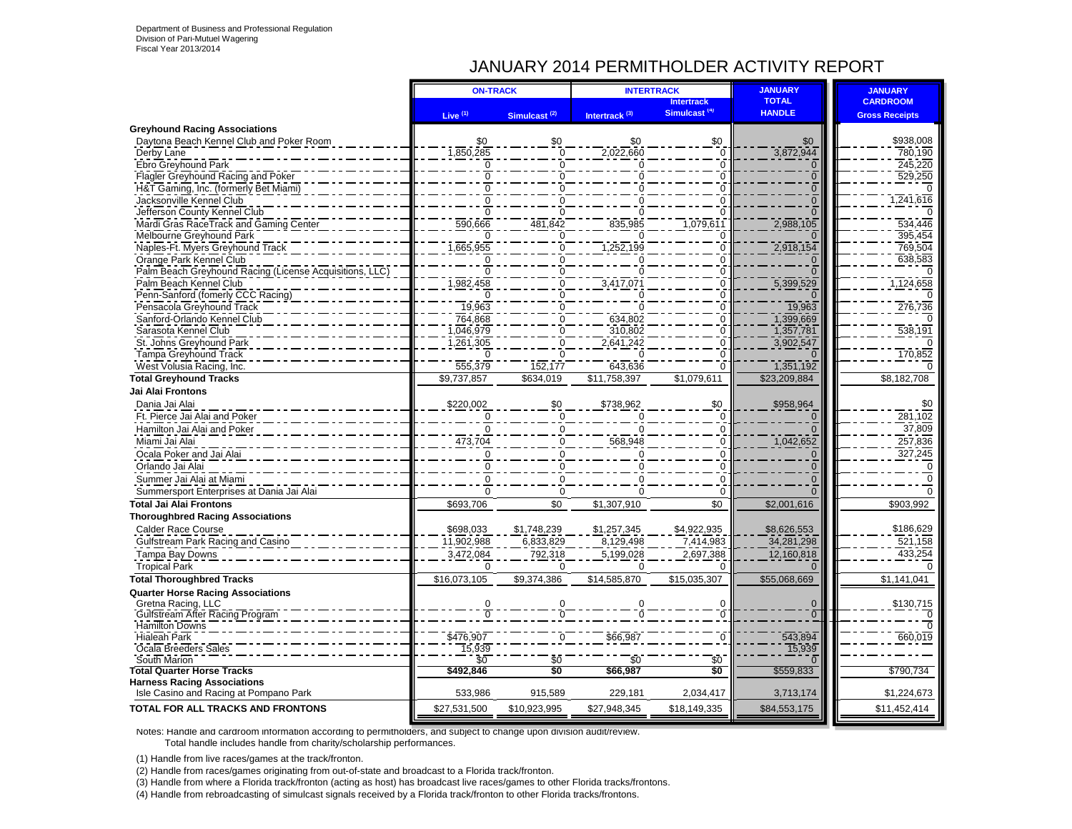### JANUARY 2014 PERMITHOLDER ACTIVITY REPORT

|                                                         | <b>ON-TRACK</b>     |                          |                           | <b>INTERTRACK</b>                             | <b>JANUARY</b>                | <b>JANUARY</b>                           |
|---------------------------------------------------------|---------------------|--------------------------|---------------------------|-----------------------------------------------|-------------------------------|------------------------------------------|
|                                                         | Live <sup>(1)</sup> | Simulcast <sup>(2)</sup> | Intertrack <sup>(3)</sup> | <b>Intertrack</b><br>Simulcast <sup>(4)</sup> | <b>TOTAL</b><br><b>HANDLE</b> | <b>CARDROOM</b><br><b>Gross Receipts</b> |
| <b>Greyhound Racing Associations</b>                    |                     |                          |                           |                                               |                               |                                          |
| Daytona Beach Kennel Club and Poker Room                | \$0                 | \$0                      | \$0                       | \$0                                           | \$0                           | \$938,008                                |
| Derby Lane                                              | 1,850,285           | $\mathbf 0$              | 2,022,660                 | $\mathbf 0$                                   | 3,872,944                     | 780,190                                  |
| Ebro Greyhound Park                                     | $\Omega$            | 0                        | 0                         | $\mathbf 0$                                   | $\overline{0}$                | 245,220                                  |
| Flagler Greyhound Racing and Poker                      | $\Omega$            | $\Omega$                 | O                         | Ō                                             | $\overline{0}$                | 529,250                                  |
| H&T Gaming, Inc. (formerly Bet Miami)                   | $\overline{0}$      | $\Omega$                 | $\Omega$                  | $\overline{0}$                                | $\overline{0}$                |                                          |
| Jacksonville Kennel Club                                | $\overline{0}$      | $\Omega$                 | U                         | $\overline{0}$                                | $\Omega$                      | 1,241,616                                |
| Jefferson County Kennel Club                            | $\Omega$            | 0                        |                           | $\Omega$                                      |                               |                                          |
| Mardi Gras RaceTrack and Gaming Center                  | 590,666             | 481.842                  | 835.985                   | 1,079,611                                     | 2,988,105                     | 534.446                                  |
| Melbourne Greyhound Park                                |                     | $\Omega$                 |                           | 0                                             |                               | 395,454                                  |
| Naples-Ft. Myers Greyhound Track                        | ,665,955            | $\overline{0}$           | 1,252,199                 | $\overline{0}$                                | 2,918,154                     | 769,504                                  |
| Orange Park Kennel Club                                 | $\Omega$            | 0                        |                           | 0                                             |                               | 638,583                                  |
| Palm Beach Greyhound Racing (License Acquisitions, LLC) |                     | 0                        |                           | $\Omega$                                      |                               |                                          |
| Palm Beach Kennel Club                                  | 982,458             | $\overline{0}$           | 3,417,07                  | $\ddot{\mathbf{0}}$                           | 5,399,529                     | 1,124,658                                |
| Penn-Sanford (fomerly CCC Racing)                       |                     | $\overline{0}$           |                           | $\overline{0}$                                |                               |                                          |
| Pensacola Greyhound Track                               | 19,963              | $\Omega$                 |                           | $\mathbf 0$                                   | 19,963                        | 276,736                                  |
| Sanford-Orlando Kennel Club                             | 764,868             | 0                        | 634,802                   | $\Omega$                                      | 1,399,669                     |                                          |
| Sarasota Kennel Club                                    | ,046,979            | 0                        | 310,802                   | $\mathbf 0$                                   | 1,357,781                     | $\overline{538,191}$                     |
| St. Johns Greyhound Park                                | ,261,305            | 0                        | 2,641,242                 | $\mathbf 0$                                   | 3,902,547                     |                                          |
| Tampa Greyhound Track                                   |                     | $\mathbf 0$              |                           | Ō                                             |                               | 170,852                                  |
| West Volusia Racing, Inc.                               | 555,379             | 152,177                  | 643,636                   | $\mathbf 0$                                   | 1,351,192                     |                                          |
| <b>Total Greyhound Tracks</b>                           | \$9,737,857         | \$634,019                | \$11,758,397              | \$1,079,611                                   | \$23,209,884                  | \$8,182,708                              |
| Jai Alai Frontons                                       |                     |                          |                           |                                               |                               |                                          |
|                                                         |                     |                          |                           |                                               |                               |                                          |
| Dania Jai Alai                                          | \$220,002           | \$0                      | \$738,962                 | \$0                                           | \$958,964                     | \$0                                      |
| Ft. Pierce Jai Alai and Poker                           | $\Omega$            | $\mathbf 0$              |                           | $\mathbf 0$                                   |                               | 281,102                                  |
| Hamilton Jai Alai and Poker                             | $\Omega$            | $\mathbf 0$              | 0                         | Ō                                             | $\Omega$                      | 37,809                                   |
| Miami Jai Alai                                          | 473,704             | $\Omega$                 | 568,948                   | $\mathbf 0$                                   | 1,042,652                     | 257,836                                  |
| Ocala Poker and Jai Alai                                | $\Omega$            | $\Omega$                 | U                         | 0                                             | $\Omega$                      | 327,245                                  |
| Orlando Jai Alai                                        | $\Omega$            | 0                        | $\Omega$                  | $\ddot{\mathbf{0}}$                           | $\Omega$                      | 0                                        |
| Summer Jai Alai at Miami                                | $\Omega$            | $\Omega$                 | $\Omega$                  | $\Omega$                                      | $\Omega$                      | $\Omega$                                 |
| Summersport Enterprises at Dania Jai Alai               | $\Omega$            | $\mathbf 0$              | 0                         | $\Omega$                                      | $\Omega$                      | $\Omega$                                 |
| <b>Total Jai Alai Frontons</b>                          | \$693,706           | \$0                      | \$1,307,910               | \$0                                           | \$2,001,616                   | \$903,992                                |
| <b>Thoroughbred Racing Associations</b>                 |                     |                          |                           |                                               |                               |                                          |
| Calder Race Course                                      | \$698,033           | \$1,748,239              | \$1,257,345               | \$4,922,935                                   | \$8,626,553                   | \$186,629                                |
| Gulfstream Park Racing and Casino                       | 11,902,988          | 6,833,829                | 8,129,498                 | 7,414,983                                     | 34,281,298                    | 521,158                                  |
| Tampa Bay Downs                                         | 3,472,084           | 792,318                  | 5,199,028                 | 2,697,388                                     | 12,160,818                    | 433,254                                  |
| <b>Tropical Park</b>                                    | $\Omega$            | $\Omega$                 | $\Omega$                  |                                               |                               |                                          |
| <b>Total Thoroughbred Tracks</b>                        | \$16,073,105        | \$9,374,386              | \$14,585,870              | \$15,035,307                                  | \$55,068,669                  | \$1,141,041                              |
|                                                         |                     |                          |                           |                                               |                               |                                          |
| <b>Quarter Horse Racing Associations</b>                |                     |                          |                           |                                               |                               |                                          |
| Gretna Racing, LLC<br>Gulfstream After Racing Program   | 0                   | Ō                        |                           | 0<br>$\overline{0}$                           | $\mathbf 0$<br>$\overline{0}$ | \$130,715<br>n                           |
| <b>Hamilton Downs</b>                                   |                     |                          |                           |                                               |                               | 70                                       |
| <b>Hialeah Park</b>                                     | \$476,907           | O                        | \$66,987                  | $\overline{0}$                                | 543,894                       | 660,019                                  |
| Ocala Breeders Sales                                    | 15,939              |                          |                           |                                               | 15,939                        |                                          |
| South Marion                                            | \$0                 | \$0                      | \$0                       | \$0                                           |                               |                                          |
| <b>Total Quarter Horse Tracks</b>                       | \$492,846           | \$0                      | \$66,987                  | \$Ō                                           | \$559,833                     | \$790,734                                |
| <b>Harness Racing Associations</b>                      |                     |                          |                           |                                               |                               |                                          |
| Isle Casino and Racing at Pompano Park                  | 533,986             | 915,589                  | 229,181                   | 2,034,417                                     | 3,713,174                     | \$1,224,673                              |
| TOTAL FOR ALL TRACKS AND FRONTONS                       | \$27,531,500        | \$10,923,995             | \$27,948,345              | \$18,149,335                                  | \$84,553,175                  | \$11,452,414                             |
|                                                         |                     |                          |                           |                                               |                               |                                          |

Notes: Handle and cardroom information according to permitholders, and subject to change upon division audit/review. Total handle includes handle from charity/scholarship performances.

(1) Handle from live races/games at the track/fronton.

(2) Handle from races/games originating from out-of-state and broadcast to a Florida track/fronton.

(3) Handle from where a Florida track/fronton (acting as host) has broadcast live races/games to other Florida tracks/frontons.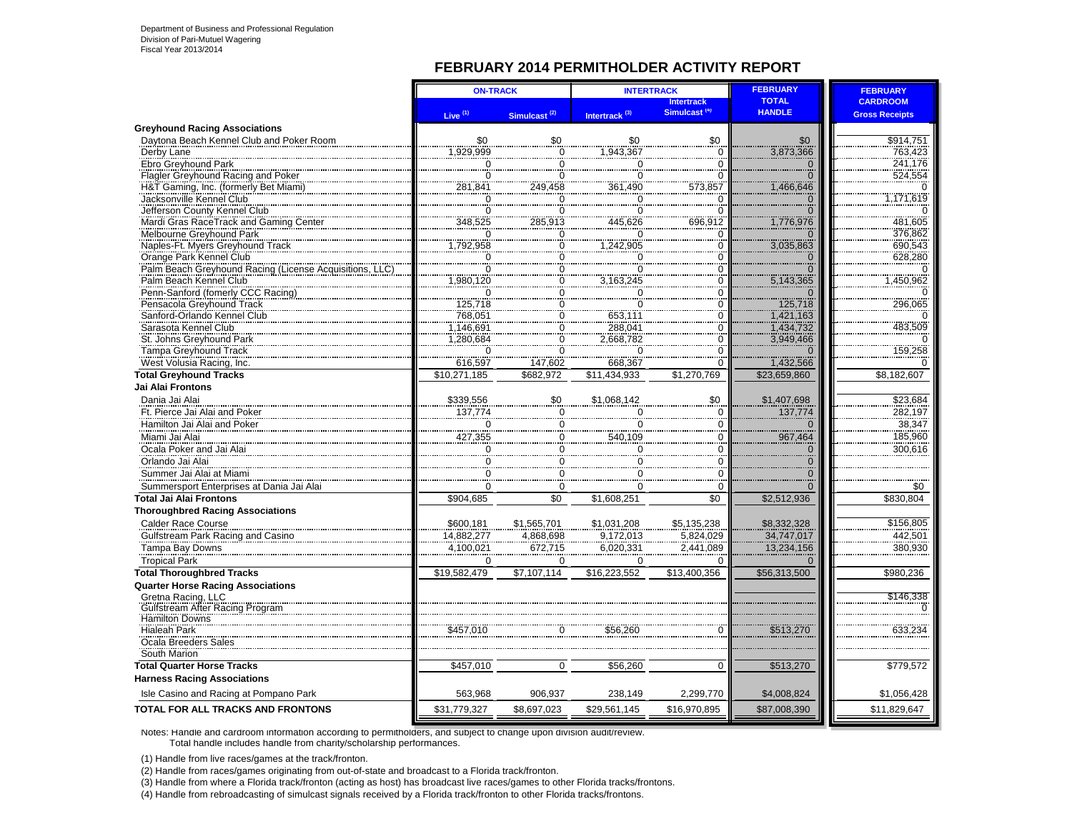#### **FEBRUARY 2014 PERMITHOLDER ACTIVITY REPORT**

|                                                                | <b>ON-TRACK</b>          |                          | <b>INTERTRACK</b>                                  |                                               | <b>FEBRUARY</b>               | <b>FEBRUARY</b>       |
|----------------------------------------------------------------|--------------------------|--------------------------|----------------------------------------------------|-----------------------------------------------|-------------------------------|-----------------------|
|                                                                |                          |                          |                                                    | <b>Intertrack</b><br>Simulcast <sup>(4)</sup> | <b>TOTAL</b><br><b>HANDLE</b> | <b>CARDROOM</b>       |
| <b>Greyhound Racing Associations</b>                           | Live $(1)$               | Simulcast <sup>(2)</sup> | Intertrack <sup>(3)</sup>                          |                                               |                               | <b>Gross Receipts</b> |
| Daytona Beach Kennel Club and Poker Room                       | \$0                      | \$0                      | \$0                                                | \$0                                           | \$0                           | \$914,751             |
| Derby Lane                                                     | 1,929,999                | $\overline{0}$           | 1,943,367                                          | $\overline{0}$                                | 3,873,366                     | 763,423               |
| Ebro Greyhound Park                                            | $\Omega$                 | $\overline{0}$           | $\Omega$                                           | $\overline{0}$                                | $\overline{0}$                | 241.176               |
| Flagler Greyhound Racing and Poker                             | $\overline{0}$           | $\overline{0}$           | $\overline{0}$                                     | $\overline{0}$                                | $\overline{0}$                | 524,554               |
| H&T Gaming, Inc. (formerly Bet Miami)                          | 281,841                  | 249,458                  | 361,490                                            | 573,857                                       | 1,466,646                     |                       |
| Jacksonville Kennel Club                                       | 0                        | $\mathbf 0$              | $\mathbf 0$                                        | $\Omega$                                      | $\mathbf 0$                   | ,171,619              |
| Jefferson County Kennel Club                                   | 0                        | $\Omega$                 | $\mathbf 0$                                        | $\Omega$                                      | $\overline{0}$                | $\overline{0}$        |
| Mardi Gras RaceTrack and Gaming Center                         | 348,525                  | 285,913                  | 445,626                                            | 696,912                                       | 1,776,976                     | 481,605               |
| Melbourne Greyhound Park                                       | 0                        | 0                        | O                                                  | ſ                                             | $\Omega$                      | 376,862               |
| Naples-Ft. Myers Greyhound Track                               | 1,792,958                | 0                        | 1,242,905                                          | $\mathbf 0$                                   | 3,035,863                     | 690,543               |
| Orange Park Kennel Club                                        | $\overline{\phantom{0}}$ | 0                        |                                                    | 0                                             | $\mathbf{0}$                  | 628,280               |
| Palm Beach Greyhound Racing (License Acquisitions, LLC         | 0                        | 0                        | $\begin{array}{r} 0 \\ 0 \\ 3,163,245 \end{array}$ | $\Omega$                                      | $\overline{0}$                |                       |
| Palm Beach Kennel Club                                         | ,980,120                 | $\overline{0}$           |                                                    | ō                                             | 5,143,365                     | 1,450,962             |
| Penn-Sanford (fomerly CCC Racing)                              | $\Omega$                 | 0                        | $\frac{0}{0}$                                      | $\Omega$                                      | $\Omega$                      |                       |
| Pensacola Greyhound Track                                      | 125,718                  | $\overline{\text{o}}$    |                                                    | $\overline{0}$                                | 125,718                       | 296,065               |
| Sanford-Orlando Kennel Club                                    | 768,051                  | $\frac{0}{0}$            | 653,111                                            | $\overline{0}$                                | 1,421,163                     |                       |
| Sarasota Kennel Club                                           | 1,146,691                |                          | 288,041                                            | $\Omega$                                      | 1,434,732                     | 483,509               |
| St. Johns Greyhound Park                                       | 1.280,684                | 0                        | 2,668,782                                          | 0                                             | 3,949,466                     |                       |
| Tampa Greyhound Track                                          | $\Omega$                 | $\overline{0}$           | $\Omega$                                           | $\Omega$                                      | $\overline{0}$                | 159,258               |
| West Volusia Racing, Inc.                                      | 616,597                  | 147,602                  | 668,367                                            | O                                             | 1,432,566                     |                       |
| <b>Total Greyhound Tracks</b>                                  | \$10,271,185             | \$682,972                | \$11,434,933                                       | \$1,270,769                                   | \$23,659,860                  | \$8,182,607           |
| Jai Alai Frontons                                              |                          |                          |                                                    |                                               |                               |                       |
| Dania Jai Alai                                                 | \$339,556                | \$0                      | \$1.068.142                                        | \$0                                           | \$1,407,698                   | \$23,684              |
| Ft. Pierce Jai Alai and Poker                                  | 137,774                  | $\Omega$                 | $\Omega$                                           | $\Omega$                                      | 137,774                       | 282,197               |
| Hamilton Jai Alai and Poker                                    | 0                        | 0                        | $\mathbf 0$                                        | $\mathbf 0$                                   | $\mathbf{0}$                  | 38,347                |
| Miami Jai Alai                                                 | 427,355                  | 0                        | 540,109                                            | $\mathbf 0$                                   | 967,464                       | 185,960               |
| Ocala Poker and Jai Alai                                       | 0                        | <br>$\overline{0}$       | $\overline{0}$                                     | <br>$\Omega$                                  | $\Omega$                      | 300,616               |
| Orlando Jai Alai                                               | 0                        | 0                        | 0                                                  | $\mathbf 0$                                   | $\overline{0}$                |                       |
| Summer Jai Alai at Miami                                       | 0                        | 0                        | $\mathbf 0$                                        | $\mathbf 0$                                   | $\mathbf 0$                   |                       |
| Summersport Enterprises at Dania Jai Alai                      | 0                        | 0                        | $\Omega$                                           | $\mathbf 0$                                   | $\Omega$                      | \$0                   |
| <b>Total Jai Alai Frontons</b>                                 | \$904,685                | \$0                      | \$1,608,251                                        | \$0                                           | \$2,512,936                   | \$830,804             |
|                                                                |                          |                          |                                                    |                                               |                               |                       |
| <b>Thoroughbred Racing Associations</b>                        |                          |                          |                                                    |                                               | \$8,332,328                   | \$156.805             |
| Calder Race Course                                             | \$600.181                | \$1,565,701              | \$1.031.208                                        | \$5,135,238                                   |                               |                       |
| Gulfstream Park Racing and Casino                              | 14,882,277               | 4,868,698                | 9,172,013                                          | 5,824,029                                     | 34,747,017                    | 442,501               |
| Tampa Bay Downs                                                | 4,100,021                | 672,715                  | 6,020,331                                          | 2,441,089                                     | 13,234,156                    | 380,930               |
| <b>Tropical Park</b>                                           | $\Omega$                 | 0                        | 0                                                  | $\Omega$                                      | $\Omega$                      |                       |
| <b>Total Thoroughbred Tracks</b>                               | \$19,582,479             | $\overline{$7,107,114}$  | \$16,223,552                                       | \$13,400,356                                  | \$56,313,500                  | \$980,236             |
| <b>Quarter Horse Racing Associations</b><br>Gretna Racing, LLC |                          |                          |                                                    |                                               |                               | \$146,338             |
| Gulfstream After Racing Program                                |                          |                          |                                                    |                                               |                               |                       |
| <b>Hamilton Downs</b>                                          |                          |                          |                                                    |                                               |                               |                       |
| <b>Hialeah Park</b>                                            | \$457,010                | $\mathbf 0$              | \$56,260                                           | $\Omega$                                      | \$513,270                     | 633,234               |
| Ocala Breeders Sales                                           |                          |                          |                                                    |                                               |                               |                       |
| South Marion                                                   |                          |                          |                                                    |                                               |                               |                       |
| <b>Total Quarter Horse Tracks</b>                              | \$457,010                | $\mathbf 0$              | \$56,260                                           | $\mathbf 0$                                   | \$513,270                     | \$779,572             |
| <b>Harness Racing Associations</b>                             |                          |                          |                                                    |                                               |                               |                       |
| Isle Casino and Racing at Pompano Park                         | 563,968                  | 906,937                  | 238,149                                            | 2,299,770                                     | \$4,008,824                   | \$1,056,428           |
| TOTAL FOR ALL TRACKS AND FRONTONS                              | \$31,779,327             | \$8,697,023              | \$29,561,145                                       | \$16,970,895                                  | \$87,008,390                  | \$11,829,647          |
|                                                                |                          |                          |                                                    |                                               |                               |                       |

Notes: Handle and cardroom information according to permitholders, and subject to change upon division audit/review. Total handle includes handle from charity/scholarship performances.

(1) Handle from live races/games at the track/fronton.

(2) Handle from races/games originating from out-of-state and broadcast to a Florida track/fronton.

(3) Handle from where a Florida track/fronton (acting as host) has broadcast live races/games to other Florida tracks/frontons.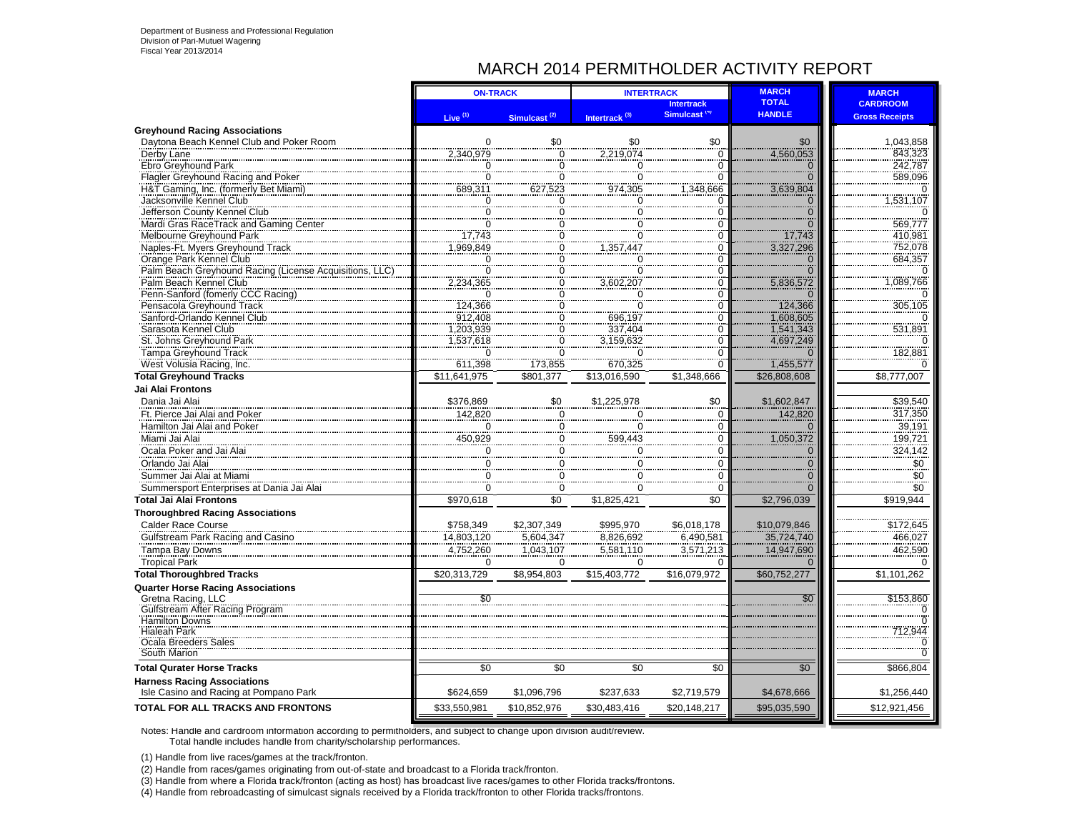## MARCH 2014 PERMITHOLDER ACTIVITY REPORT

|                                                                              |                     | <b>ON-TRACK</b>                      | <b>INTERTRACK</b>         |                          | <b>MARCH</b>               | <b>MARCH</b>          |
|------------------------------------------------------------------------------|---------------------|--------------------------------------|---------------------------|--------------------------|----------------------------|-----------------------|
|                                                                              |                     |                                      |                           | <b>Intertrack</b>        | <b>TOTAL</b>               | <b>CARDROOM</b>       |
|                                                                              | Live <sup>(1)</sup> | Simulcast <sup>(2)</sup>             | Intertrack <sup>(3)</sup> | Simulcast <sup>(4)</sup> | <b>HANDLE</b>              | <b>Gross Receipts</b> |
| <b>Greyhound Racing Associations</b>                                         |                     |                                      |                           |                          |                            |                       |
| Daytona Beach Kennel Club and Poker Room                                     | $\Omega$            | \$0                                  | \$0                       | \$0                      | \$0                        | 1,043,858             |
| Derby Lane                                                                   | 2,340,979           | $\overline{0}$                       | 2,219,074                 | $\Omega$                 | 4,560,053                  | 843,323               |
| Ebro Greyhound Park                                                          | 0                   | $\mathbf 0$                          | $\Omega$                  |                          | $\mathbf 0$                | 242,787<br>589,096    |
| Flagler Greyhound Racing and Poker                                           | 0                   | $\overline{0}$                       | $\overline{0}$            |                          | $\overline{0}$             |                       |
| H&T Gaming, Inc. (formerly Bet Miami)                                        | 689,311             | 627,523                              | 974,305                   | ,348,666                 | 3,639,804                  | <u>531,107</u>        |
| Jacksonville Kennel Club<br>Jefferson County Kennel Club                     | 0<br>n              | 0<br>0                               | 0<br>0                    | C                        | $\Omega$<br>$\overline{O}$ |                       |
| Mardi Gras RaceTrack and Gaming Center                                       | $\overline{0}$      | Ö                                    | ö                         |                          | $\overline{0}$             | 569,777               |
| Melbourne Greyhound Park                                                     | 17,743              |                                      |                           | $\Omega$                 | 17,743                     | 410,981               |
| Naples-Ft. Myers Greyhound Track                                             | ,969,849            | $\frac{0}{0}$                        |                           | $\Omega$                 | 3,327,296                  | 752,078               |
| Orange Park Kennel Club                                                      |                     | 0                                    | $\mathbf 0$               | $\Omega$                 |                            | 684,357               |
| Palm Beach Greyhound Racing (License Acquisitions, LLC                       | $\frac{0}{0}$       |                                      | $\overline{0}$            | n                        | $\frac{0}{0}$              |                       |
| Palm Beach Kennel Club                                                       | 2,234,365           | $\begin{matrix} 0 \\ 0 \end{matrix}$ | 3,602,207                 | ∩                        | 5,836,572                  | ,089,766              |
| Penn-Sanford (fomerly CCC Racing)                                            | $\overline{0}$      | $\dot{\rm o}$                        | $\overline{0}$            |                          |                            |                       |
| Pensacola Greyhound Track                                                    | 124,366             | $\overline{0}$                       | $\overline{0}$            | 0                        | 124,366                    | 305,105               |
| Sanford-Orlando Kennel Club                                                  | 912,408             | $\overline{0}$                       | 696,197                   | 0                        | 1,608,605                  |                       |
| Sarasota Kennel Club                                                         | ,203,939            | $\frac{0}{0}$                        | 337,404                   | $\Omega$                 | 1,541,343                  | 531,891               |
| St. Johns Greyhound Park                                                     | ,537,618            |                                      | 3,159,632                 | O                        | 4,697,249                  |                       |
| Tampa Greyhound Track                                                        | $\Omega$            | $\Omega$                             | $\Omega$                  | $\Omega$                 |                            | 182,881               |
| West Volusia Racing, Inc.                                                    | 611,398             | 173,855                              | 670,325                   | $\Omega$                 | 1,455,577                  |                       |
| <b>Total Greyhound Tracks</b>                                                | \$11,641,975        | \$801.377                            | \$13,016,590              | \$1.348.666              | \$26,808,608               | \$8,777,007           |
| <b>Jai Alai Frontons</b>                                                     |                     |                                      |                           |                          |                            |                       |
| Dania Jai Alai                                                               | \$376,869           | \$0                                  | \$1,225,978               | \$0                      | \$1,602,847                | \$39,540              |
| Ft. Pierce Jai Alai and Poker                                                | 142,820             | $\pmb{0}$                            | $\overline{0}$            | $\Omega$                 | 142,820                    | 317,350               |
| Hamilton Jai Alai and Poker                                                  | 0                   | 0                                    | 0                         | $\Omega$                 | $\Omega$                   | 39,191                |
| Miami Jai Alai                                                               | 450,929             | $\frac{0}{2}$                        | 599,443                   | $\Omega$                 | 1,050,372                  | 199,721<br>324,142    |
| Ocala Poker and Jai Alai                                                     | 0                   | $\overline{0}$                       | 0                         | 0                        | $\mathbf 0$                |                       |
| Orlando Jai Alai                                                             | $\mathbf 0$         | $\overline{0}$                       | $\mathbf 0$               | $\Omega$                 | $\overline{0}$             | \$0                   |
| Summer Jai Alai at Miami                                                     | $\Omega$            | $\mathbf 0$                          | $\mathbf 0$               | $\Omega$                 | $\Omega$                   | \$0                   |
| Summersport Enterprises at Dania Jai Alai                                    | O                   | $\Omega$                             | $\Omega$                  | $\Omega$                 | $\Omega$                   | \$0                   |
| <b>Total Jai Alai Frontons</b>                                               | \$970,618           | \$0                                  | \$1,825,421               | \$0                      | \$2,796,039                | \$919,944             |
| <b>Thoroughbred Racing Associations</b>                                      |                     |                                      |                           |                          |                            |                       |
| <b>Calder Race Course</b>                                                    | \$758,349           | \$2,307,349                          | \$995,970                 | \$6,018,178              | \$10,079,846               | \$172,645             |
| Gulfstream Park Racing and Casino                                            | 14,803,120          | 5,604,347                            | 8,826,692                 | 6,490,581                | 35,724,740                 | 466,027               |
| Tampa Bay Downs                                                              | 4,752,260           | 1,043,107                            | 5,581,110                 | 3,571,213                | 14,947,690                 | 462,590               |
| <b>Tropical Park</b>                                                         | $\Omega$            | $\Omega$                             | $\Omega$                  | ∩                        | $\Omega$                   |                       |
| <b>Total Thoroughbred Tracks</b>                                             | \$20,313,729        | \$8,954,803                          | \$15,403,772              | \$16,079,972             | \$60,752,277               | \$1,101,262           |
| <b>Quarter Horse Racing Associations</b>                                     |                     |                                      |                           |                          |                            |                       |
| Gretna Racing, LLC                                                           | \$0                 |                                      |                           |                          | \$0                        | \$153,860             |
| Gulfstream After Racing Program                                              |                     |                                      |                           |                          |                            |                       |
| Hamilton Downs                                                               |                     |                                      |                           |                          |                            |                       |
| Hialeah Park<br>Ocala Breeders Sales                                         |                     |                                      |                           |                          |                            | 712,944               |
| South Marion                                                                 |                     |                                      |                           |                          |                            |                       |
|                                                                              |                     |                                      |                           |                          |                            |                       |
| <b>Total Qurater Horse Tracks</b>                                            | \$0                 | \$0                                  | \$0                       | \$0                      | \$0                        | \$866,804             |
| <b>Harness Racing Associations</b><br>Isle Casino and Racing at Pompano Park | \$624,659           | \$1,096,796                          | \$237,633                 | \$2,719,579              | \$4,678,666                | \$1,256,440           |
| TOTAL FOR ALL TRACKS AND FRONTONS                                            | \$33,550,981        | \$10,852,976                         | \$30,483,416              | \$20,148,217             | \$95,035,590               | \$12,921,456          |
|                                                                              |                     |                                      |                           |                          |                            |                       |

Notes: Handle and cardroom information according to permitholders, and subject to change upon division audit/review. Total handle includes handle from charity/scholarship performances.

(1) Handle from live races/games at the track/fronton.

(2) Handle from races/games originating from out-of-state and broadcast to a Florida track/fronton.

(3) Handle from where a Florida track/fronton (acting as host) has broadcast live races/games to other Florida tracks/frontons.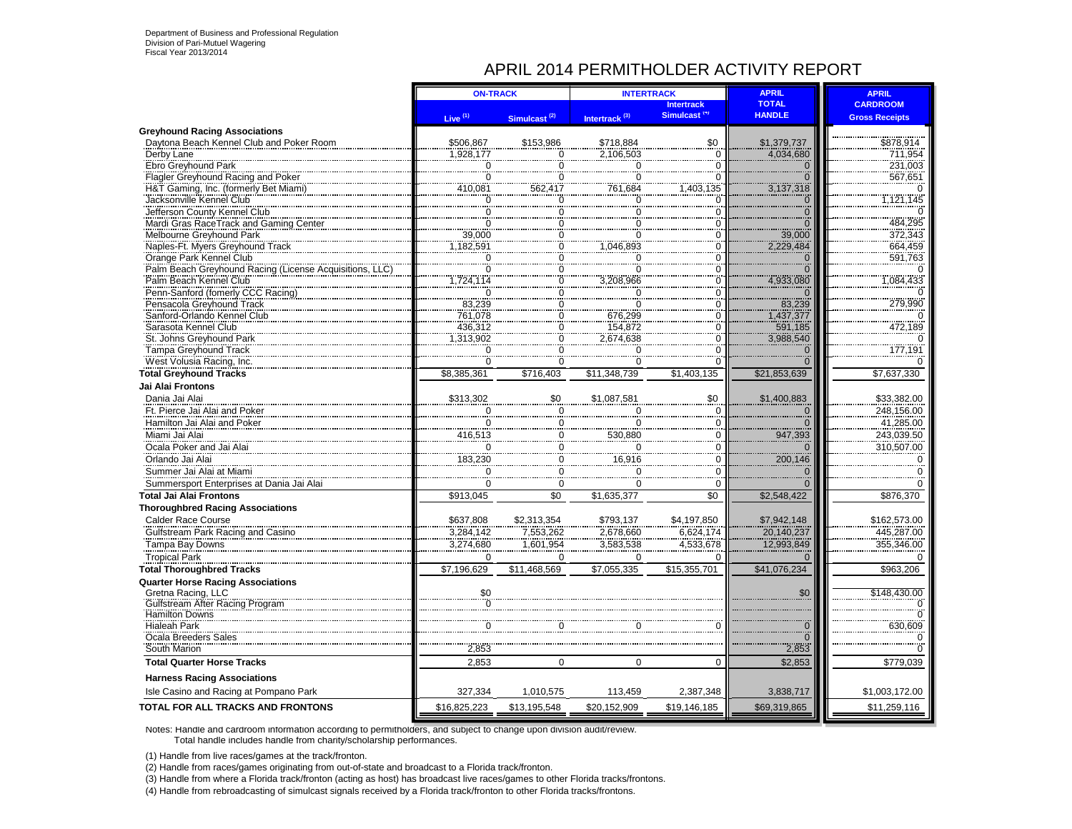## APRIL 2014 PERMITHOLDER ACTIVITY REPORT

|                                                                                  | <b>ON-TRACK</b>        |                          |                           | <b>INTERTRACK</b>                             | <b>APRIL</b>                              | <b>APRIL</b>             |
|----------------------------------------------------------------------------------|------------------------|--------------------------|---------------------------|-----------------------------------------------|-------------------------------------------|--------------------------|
|                                                                                  |                        |                          |                           | <b>Intertrack</b><br>Simulcast <sup>(4)</sup> | <b>TOTAL</b><br><b>HANDLE</b>             | <b>CARDROOM</b>          |
|                                                                                  | Live <sup>(1)</sup>    | Simulcast <sup>(2)</sup> | Intertrack <sup>(3)</sup> |                                               |                                           | <b>Gross Receipts</b>    |
| <b>Greyhound Racing Associations</b><br>Daytona Beach Kennel Club and Poker Room | \$506,867              | \$153,986                | \$718,884                 |                                               | \$1,379,737                               |                          |
| Derby Lane                                                                       | 1.928.177              | $\Omega$                 | 2.106.503                 | $\frac{$0}{}$                                 | 4,034,680                                 | \$878,914<br>711,954     |
| Ebro Greyhound Park                                                              | 0                      | $\overline{0}$           | $\overline{0}$            | $\overline{0}$                                |                                           | 231,003                  |
| Flagler Greyhound Racing and Poker                                               | $\ddot{\rm{o}}$        | $\overline{0}$           | 0                         | $\Omega$                                      | $\frac{0}{0}$                             | 567,651                  |
| H&T Gaming, Inc. (formerly Bet Miami)                                            | 410,081                | 562,417                  | 761,684                   | ,403,135                                      | 3,137,318                                 |                          |
| Jacksonville Kennel Club                                                         | 0                      | 0                        | 0                         | 0                                             | $\begin{matrix} 0 \\ 0 \\ 0 \end{matrix}$ | 1,121,145                |
| Jefferson County Kennel Club                                                     | 0                      | 0                        | 0                         | $\Omega$                                      |                                           |                          |
| Mardi Gras RaceTrack and Gaming Center                                           | $\Omega$               | 0                        |                           | $\Omega$                                      |                                           | 484.295                  |
| Melbourne Greyhound Park                                                         | 39,000                 | 0<br>$\overline{0}$      | $\Omega$                  | $\Omega$                                      | 39,000                                    | 372,343                  |
| Naples-Ft. Myers Greyhound Track<br>Orange Park Kennel Club                      | 1,182,591<br>$\Omega$  |                          | 1,046,893                 | $\overline{0}$<br>$\Omega$                    | 2,229,484<br>$\overline{0}$               | 664,459                  |
| Palm Beach Greyhound Racing (License Acquisitions,                               | $\overline{0}$         | 0<br>$\frac{6}{0}$       | 0                         | $\overline{0}$                                | $\frac{8}{0}$                             | 591,763                  |
| Palm Beach Kennel Club                                                           | .724.114               | $\overline{0}$           | 3.208.966                 | $\overline{0}$                                | 4,933,080                                 | 1,084,433                |
| Penn-Sanford (fomerly CCC Racing)                                                | $\Omega$               | 0                        | $\Omega$                  | $\Omega$                                      | $\Omega$                                  |                          |
| Pensacola Greyhound Track                                                        | 83,239                 | $\overline{0}$           | $\Omega$                  | $\frac{8}{0}$                                 | 83,239                                    | 279,990                  |
| Sanford-Orlando Kennel Club                                                      | 761,078                | $\Omega$                 | 676.299                   | $\overline{0}$                                | 1,437,377                                 |                          |
| Sarasota Kennel Club                                                             | 436,312                | $\overline{0}$           | 154,872                   | $\frac{8}{0}$                                 | 591,185                                   | 472,189                  |
| St. Johns Greyhound Park                                                         | 1,313,902              | 0                        | 2,674,638                 | 0                                             | 3,988,540                                 |                          |
| Tampa Greyhound Track                                                            | $\Omega$               | 0                        | $\Omega$                  | $\overline{0}$                                | $\overline{0}$                            | 177,191                  |
| West Volusia Racing, Inc.                                                        | O                      | 0                        | 'n                        | $\overline{0}$                                | $\overline{0}$                            |                          |
| <b>Total Greyhound Tracks</b>                                                    | \$8,385,361            | \$716,403                | \$11,348,739              | \$1,403,135                                   | \$21,853,639                              | \$7,637,330              |
| Jai Alai Frontons                                                                |                        |                          |                           |                                               |                                           |                          |
| Dania Jai Alai                                                                   | \$313,302              | \$0                      | \$1,087,581               | \$0                                           | \$1,400,883                               | \$33,382.00              |
| Ft. Pierce Jai Alai and Poker                                                    | $\mathbf 0$            | 0                        | 0                         | $\overline{0}$                                | $\mathbf 0$                               | 248,156.00               |
| Hamilton Jai Alai and Poker                                                      | 0                      | 0                        | $\mathbf 0$               | $\overline{0}$                                | $\frac{1}{0}$                             | 41,285.00                |
| Miami Jai Alai                                                                   | 416,513                | 0                        | 530,880                   | $\mathbf 0$                                   | 947,393                                   | 243,039.50               |
| Ocala Poker and Jai Alai                                                         | $\Omega$               | 0                        | $\Omega$                  | $\Omega$                                      | $\Omega$                                  | 310,507.00               |
| Orlando Jai Alai                                                                 | 183.230                | $\mathbf 0$              | 16,916                    | $\overline{0}$                                | 200,146                                   |                          |
| Summer Jai Alai at Miami                                                         | $\Omega$               | $\Omega$                 | 0                         | $\Omega$                                      | $\overline{0}$<br>$\overline{0}$          |                          |
| Summersport Enterprises at Dania Jai Alai                                        | 0                      | 0                        | $\mathbf 0$               | $\Omega$                                      |                                           |                          |
| <b>Total Jai Alai Frontons</b>                                                   | \$913,045              | \$0                      | \$1,635,377               | \$0                                           | \$2,548,422                               | \$876,370                |
| <b>Thoroughbred Racing Associations</b>                                          |                        |                          |                           |                                               |                                           |                          |
| Calder Race Course<br>Gulfstream Park Racing and Casino                          | \$637,808              | \$2,313,354<br>7,553,262 | \$793,137<br>2,678,660    | \$4,197,850<br>6.624.174                      | \$7,942,148<br>20,140,237                 | \$162,573.00             |
| Tampa Bay Downs                                                                  | 3,284,142<br>3,274,680 | 1,601,954                | 3,583,538                 | 4,533,678                                     | 12,993,849                                | 445,287.00<br>355,346.00 |
| <b>Tropical Park</b>                                                             | $\Omega$               | $\Omega$                 | $\Omega$                  | 0                                             | $\Omega$                                  |                          |
| <b>Total Thoroughbred Tracks</b>                                                 | \$7,196,629            | \$11,468,569             | \$7,055,335               | \$15,355,701                                  | \$41,076,234                              | \$963,206                |
| <b>Quarter Horse Racing Associations</b>                                         |                        |                          |                           |                                               |                                           |                          |
| Gretna Racing, LLC                                                               | \$0                    |                          |                           |                                               | \$0                                       | \$148,430.00             |
| Gulfstream After Racing Program                                                  | 0                      |                          |                           |                                               |                                           |                          |
| <b>Hamilton Downs</b>                                                            |                        |                          |                           |                                               |                                           |                          |
| <b>Hialeah Park</b>                                                              | $\Omega$               | 0                        | O                         |                                               | $\begin{matrix} 0 \\ 0 \end{matrix}$      | 630,609                  |
| Ocala Breeders Sales<br>South Marion                                             | 2,853                  |                          |                           |                                               | 2,853                                     |                          |
| <b>Total Quarter Horse Tracks</b>                                                | 2,853                  | $\Omega$                 | $\Omega$                  | $\Omega$                                      | \$2,853                                   | \$779,039                |
| <b>Harness Racing Associations</b>                                               |                        |                          |                           |                                               |                                           |                          |
| Isle Casino and Racing at Pompano Park                                           | 327,334                | 1,010,575                | 113.459                   | 2,387,348                                     | 3,838,717                                 | \$1,003,172.00           |
| TOTAL FOR ALL TRACKS AND FRONTONS                                                | \$16,825,223           | \$13,195,548             | \$20,152,909              | \$19,146,185                                  | \$69,319,865                              | \$11,259,116             |

Notes: Handle and cardroom information according to permitholders, and subject to change upon division audit/review. Total handle includes handle from charity/scholarship performances.

(1) Handle from live races/games at the track/fronton.

(2) Handle from races/games originating from out-of-state and broadcast to a Florida track/fronton.

(3) Handle from where a Florida track/fronton (acting as host) has broadcast live races/games to other Florida tracks/frontons.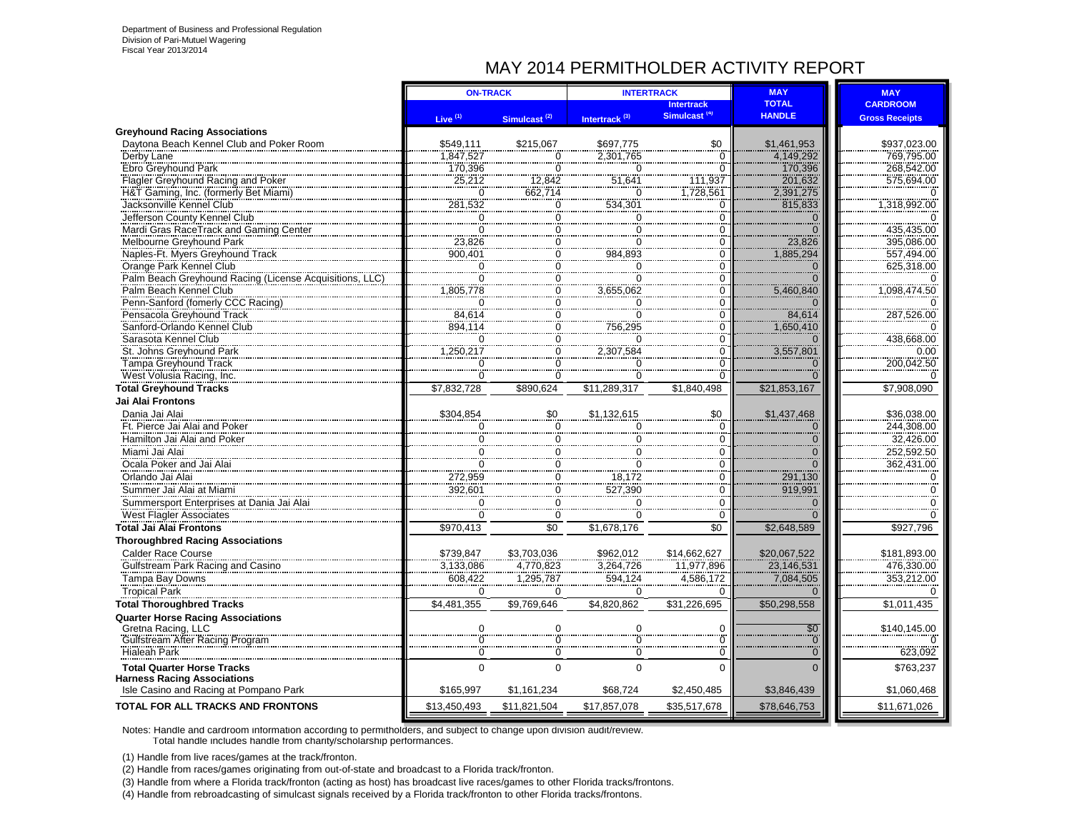## MAY 2014 PERMITHOLDER ACTIVITY REPORT

|                                                                              | <b>ON-TRACK</b>        |                          |                           | <b>INTERTRACK</b>          | <b>MAY</b>                        | <b>MAY</b>                 |
|------------------------------------------------------------------------------|------------------------|--------------------------|---------------------------|----------------------------|-----------------------------------|----------------------------|
|                                                                              |                        |                          |                           | <b>Intertrack</b>          | <b>TOTAL</b>                      | <b>CARDROOM</b>            |
|                                                                              | Live $(1)$             | Simulcast <sup>(2)</sup> | Intertrack <sup>(3)</sup> | Simulcast <sup>(4)</sup>   | <b>HANDLE</b>                     | <b>Gross Receipts</b>      |
| <b>Greyhound Racing Associations</b>                                         |                        |                          |                           |                            |                                   |                            |
| Davtona Beach Kennel Club and Poker Room                                     | \$549,111<br>1.847.527 | \$215.067                | \$697,775<br>2.301.765    | \$0                        | \$1,461,953<br>4,149,292          | \$937,023.00<br>769.795.00 |
| Derby Lane<br>Ebro Greyhound Park                                            |                        | $\Omega$<br>∩            |                           | $\Omega$<br>$\overline{0}$ |                                   |                            |
| Flagler Greyhound Racing and Poker                                           | 170,396<br>25,212      | 12,842                   | 0<br>51,641               | 111,937                    | 170,396<br>201,632                | 268,542.00<br>575,694.00   |
| H&T Gaming, Inc. (formerly Bet Miami)                                        | $\overline{0}$         | 662,714                  | 0                         | 1,728,561                  | 2,391,275                         |                            |
| Jacksonville Kennel Club                                                     | 281,532                | $\overline{0}$           | 534,301                   | $\overline{0}$             | 815,833                           | 1,318,992.00               |
| Jefferson County Kennel Club                                                 | $\Omega$               | 0                        | 0                         | $\bar{0}$                  | $\Omega$                          |                            |
| Mardi Gras RaceTrack and Gaming Center                                       | $\overline{0}$         | $\overline{0}$           | $\overline{0}$            | $\overline{0}$             | $\overline{0}$                    | 435,435.00                 |
| Melbourne Greyhound Park                                                     | 23,826                 | O                        | ö                         | $\overline{0}$             | 23.826                            | 395,086.00                 |
| Naples-Ft. Myers Greyhound Track                                             | 900,401                | 0                        | 984,893                   | $\overline{0}$             | 1,885,294                         | 557,494.00                 |
| Orange Park Kennel Club                                                      | $\Omega$               | 0                        | 0                         | $\overline{0}$             | $\Omega$                          | 625,318.00                 |
| Palm Beach Greyhound Racing (License Acquisitions, LLC)                      | $\overline{0}$         | $\overline{0}$           | $\ddot{\mathbf{0}}$       | $\overline{0}$             |                                   |                            |
| Palm Beach Kennel Club                                                       | 1,805,778              | $\overline{0}$           | 3,655,062                 | $\overline{0}$             | 5,460,840                         | 1,098,474.50               |
| Penn-Sanford (fomerly CCC Racing)                                            | $\Omega$               | Ő                        | 0                         | $\overline{0}$             |                                   |                            |
| Pensacola Greyhound Track                                                    | 84,614                 | $\overline{0}$           | 0                         | $\overline{0}$             | 84,614                            | 287,526.00                 |
| Sanford-Orlando Kennel Club                                                  | 894.114                | Ő                        | 756,295                   | $\overline{0}$             | 1,650,410                         |                            |
| Sarasota Kennel Club                                                         |                        | Ő                        | n                         | $\bar{0}$                  | $\Omega$                          | 438,668.00                 |
| St. Johns Greyhound Park                                                     | 1,250,217              | Ő                        | 2,307,584                 | $\overline{0}$             | 3,557,801                         | 0.00                       |
| Tampa Greyhound Track                                                        |                        | $\overline{0}$           |                           | $\overline{0}$             |                                   | 200,042.50                 |
| West Volusia Racing, Inc.                                                    |                        | $\overline{0}$           | $\overline{0}$            | $\overline{0}$             |                                   |                            |
| <b>Total Greyhound Tracks</b>                                                | \$7,832,728            | \$890,624                | \$11,289,317              | \$1,840,498                | \$21,853,167                      | \$7,908,090                |
| Jai Alai Frontons                                                            |                        |                          |                           |                            |                                   |                            |
| Dania Jai Alai                                                               | \$304,854              | \$0                      | \$1,132,615               | \$0                        | \$1,437,468                       | \$36,038.00                |
| Ft. Pierce Jai Alai and Poker                                                | 0                      | $\mathbf 0$              | 0                         | $\tilde{0}$                | $\Omega$                          | 244,308.00                 |
| Hamilton Jai Alai and Poker                                                  | $\mathbf 0$            | $\pmb{0}$                | 0                         | $\overline{0}$             | $\mathbf{0}$                      | 32,426.00                  |
| Miami Jai Alai                                                               | $\mathbf 0$            | $\mathbf 0$              | 0                         | $\overline{0}$             | $\Omega$                          | 252,592.50                 |
| Ocala Poker and Jai Alai                                                     | $\mathbf 0$            | $\mathbf 0$              | 0                         | $\overline{0}$             | $\Omega$                          | 362,431.00                 |
| Orlando Jai Alai                                                             | 272,959                | $\mathbf 0$              | 18,172                    | $\overline{0}$<br>         | 291,130<br>919,991                | $\mathbf 0$                |
| Summer Jai Alai at Miami                                                     | 392,601                | 0                        | 527,390                   | 0                          |                                   | 0                          |
| Summersport Enterprises at Dania Jai Alai                                    | $\Omega$               | $\Omega$                 | $\Omega$                  | $\mathbf 0$                |                                   | $\Omega$                   |
| <b>West Flagler Associates</b>                                               | $\Omega$               | $\Omega$                 | 0                         | $\Omega$                   |                                   | $\Omega$                   |
| Total Jai Alai Frontons                                                      | \$970,413              | \$0                      | \$1,678,176               | \$0                        | \$2,648,589                       | \$927,796                  |
| <b>Thoroughbred Racing Associations</b>                                      |                        |                          |                           |                            |                                   |                            |
| <b>Calder Race Course</b>                                                    | \$739,847              | \$3,703,036              | \$962,012                 | \$14,662,627               | \$20,067,522                      | \$181,893.00               |
| Gulfstream Park Racing and Casino                                            | 3,133,086              | 4,770,823                | 3,264,726                 | 11,977,896                 | 23,146,531                        | 476,330.00                 |
| Tampa Bay Downs                                                              | 608,422                | 1,295,787                | 594,124                   | 4,586,172                  | 7,084,505                         | 353,212.00                 |
| <b>Tropical Park</b>                                                         | $\Omega$               | $\Omega$                 | 0                         | $\Omega$                   | $\Omega$                          |                            |
| <b>Total Thoroughbred Tracks</b>                                             | \$4,481,355            | \$9,769,646              | \$4,820,862               | \$31,226,695               | \$50,298,558                      | \$1,011,435                |
| <b>Quarter Horse Racing Associations</b>                                     |                        |                          |                           |                            |                                   |                            |
| Gretna Racing, LLC                                                           |                        |                          |                           | 0<br>$\overline{0}$        | $\overline{60}$<br>$\overline{0}$ | \$140,145.00               |
| Gulfstream After Racing Program                                              |                        |                          |                           | $\check{0}$                |                                   |                            |
| <b>Hialeah Park</b>                                                          | $\mathbf 0$            | $\mathbf 0$              | ö                         |                            | $\overline{0}$                    | 623,092                    |
| <b>Total Quarter Horse Tracks</b>                                            | $\Omega$               | $\Omega$                 | $\overline{0}$            | $\Omega$                   | $\Omega$                          | \$763,237                  |
| <b>Harness Racing Associations</b><br>Isle Casino and Racing at Pompano Park | \$165,997              | \$1,161,234              | \$68,724                  | \$2,450,485                | \$3,846,439                       | \$1,060,468                |
| <b>TOTAL FOR ALL TRACKS AND FRONTONS</b>                                     | \$13,450,493           | \$11,821,504             | \$17,857,078              | \$35,517,678               | \$78,646,753                      | \$11,671,026               |
|                                                                              |                        |                          |                           |                            |                                   |                            |

Notes: Handle and cardroom information according to permitholders, and subject to change upon division audit/review. Total handle includes handle from charity/scholarship performances.

(1) Handle from live races/games at the track/fronton.

(2) Handle from races/games originating from out-of-state and broadcast to a Florida track/fronton.

(3) Handle from where a Florida track/fronton (acting as host) has broadcast live races/games to other Florida tracks/frontons.